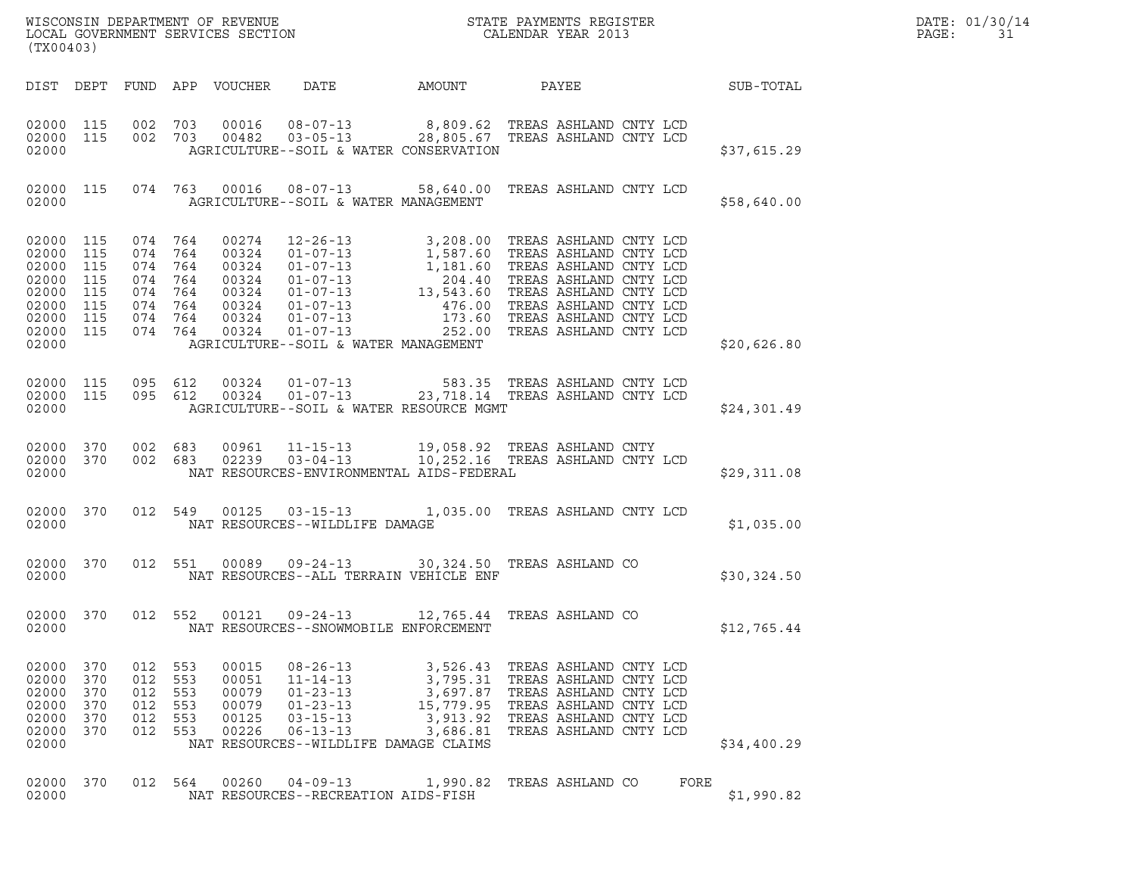| (TX00403)                                                                     |                                                      |                    |                                          |                                           |                                                                                                                                                                                                                                                                      |  |  |  |      |                  | DATE: 01/30/14<br>PAGE:<br>31 |
|-------------------------------------------------------------------------------|------------------------------------------------------|--------------------|------------------------------------------|-------------------------------------------|----------------------------------------------------------------------------------------------------------------------------------------------------------------------------------------------------------------------------------------------------------------------|--|--|--|------|------------------|-------------------------------|
|                                                                               |                                                      |                    |                                          |                                           |                                                                                                                                                                                                                                                                      |  |  |  |      | <b>SUB-TOTAL</b> |                               |
| 02000                                                                         |                                                      |                    |                                          |                                           | 02000 115 002 703 00016 08-07-13 8,809.62 TREAS ASHLAND CNTY LCD<br>02000 115 002 703 00482 03-05-13 28,805.67 TREAS ASHLAND CNTY LCD<br>AGRICULTURE--SOIL & WATER CONSERVATION                                                                                      |  |  |  |      | \$37,615.29      |                               |
| 02000                                                                         |                                                      |                    |                                          |                                           | 02000 115 074 763 00016 08-07-13 58,640.00 TREAS ASHLAND CNTY LCD<br>AGRICULTURE--SOIL & WATER MANAGEMENT                                                                                                                                                            |  |  |  |      | \$58,640.00      |                               |
| 02000<br>02000<br>02000<br>02000<br>02000<br>02000<br>02000<br>02000<br>02000 | 115<br>115<br>115<br>115<br>115<br>115<br>115<br>115 |                    | 074 764 00274                            |                                           | AGRICULTURE--SOIL & WATER MANAGEMENT                                                                                                                                                                                                                                 |  |  |  |      | \$20,626.80      |                               |
| 02000                                                                         |                                                      |                    |                                          |                                           | 02000 115 095 612 00324 01-07-13 583.35 TREAS ASHLAND CNTY LCD<br>02000 115 095 612 00324 01-07-13 23,718.14 TREAS ASHLAND CNTY LCD<br>AGRICULTURE--SOIL & WATER RESOURCE MGMT                                                                                       |  |  |  |      | \$24,301.49      |                               |
| 02000 370<br>02000 370<br>02000                                               |                                                      |                    |                                          |                                           | 002 683 00961 11-15-13 19,058.92 TREAS ASHLAND CNTY<br>002 683 02239 03-04-13 10,252.16 TREAS ASHLAND CNTY LCD<br>NAT RESOURCES-ENVIRONMENTAL AIDS-FEDERAL                                                                                                           |  |  |  |      | \$29,311.08      |                               |
| 02000                                                                         |                                                      |                    |                                          |                                           | 02000 370 012 549 00125 03-15-13 1,035.00 TREAS ASHLAND CNTY LCD<br>NAT RESOURCES--WILDLIFE DAMAGE                                                                                                                                                                   |  |  |  |      | \$1,035.00       |                               |
| 02000                                                                         |                                                      |                    |                                          |                                           | 02000 370 012 551 00089 09-24-13 30,324.50 TREAS ASHLAND CO<br>NAT RESOURCES--ALL TERRAIN VEHICLE ENF                                                                                                                                                                |  |  |  |      | \$30,324.50      |                               |
| 02000                                                                         |                                                      |                    |                                          |                                           | 02000 370 012 552 00121 09-24-13 12,765.44 TREAS ASHLAND CO<br>NAT RESOURCES--SNOWMOBILE ENFORCEMENT                                                                                                                                                                 |  |  |  |      | \$12,765.44      |                               |
| 02000 370<br>02000<br>02000<br>02000<br>02000<br>02000<br>02000               | 370<br>370<br>370<br>370<br>370                      | 012 553<br>012 553 | 012 553<br>012 553<br>012 553<br>012 553 | 00051<br>00079<br>00079<br>00125<br>00226 | 00015  08-26-13  3,526.43  TREAS ASHLAND CNTY LCD<br>$3,795.31$ TREAS ASHLAND CNTY LCD<br>01-23-13 3,697.87 TREAS ASHLAND CNTY LCD<br>01-23-13 15,779.95 TREAS ASHLAND CNTY LCD<br>03.15.13 3,013.03 TREAS ASHLAND CNTY LCD<br>NAT RESOURCES--WILDLIFE DAMAGE CLAIMS |  |  |  |      | \$34,400.29      |                               |
| 02000 370<br>02000                                                            |                                                      |                    |                                          |                                           | 012 564 00260 04-09-13 1,990.82 TREAS ASHLAND CO<br>NAT RESOURCES--RECREATION AIDS-FISH                                                                                                                                                                              |  |  |  | FORE | \$1,990.82       |                               |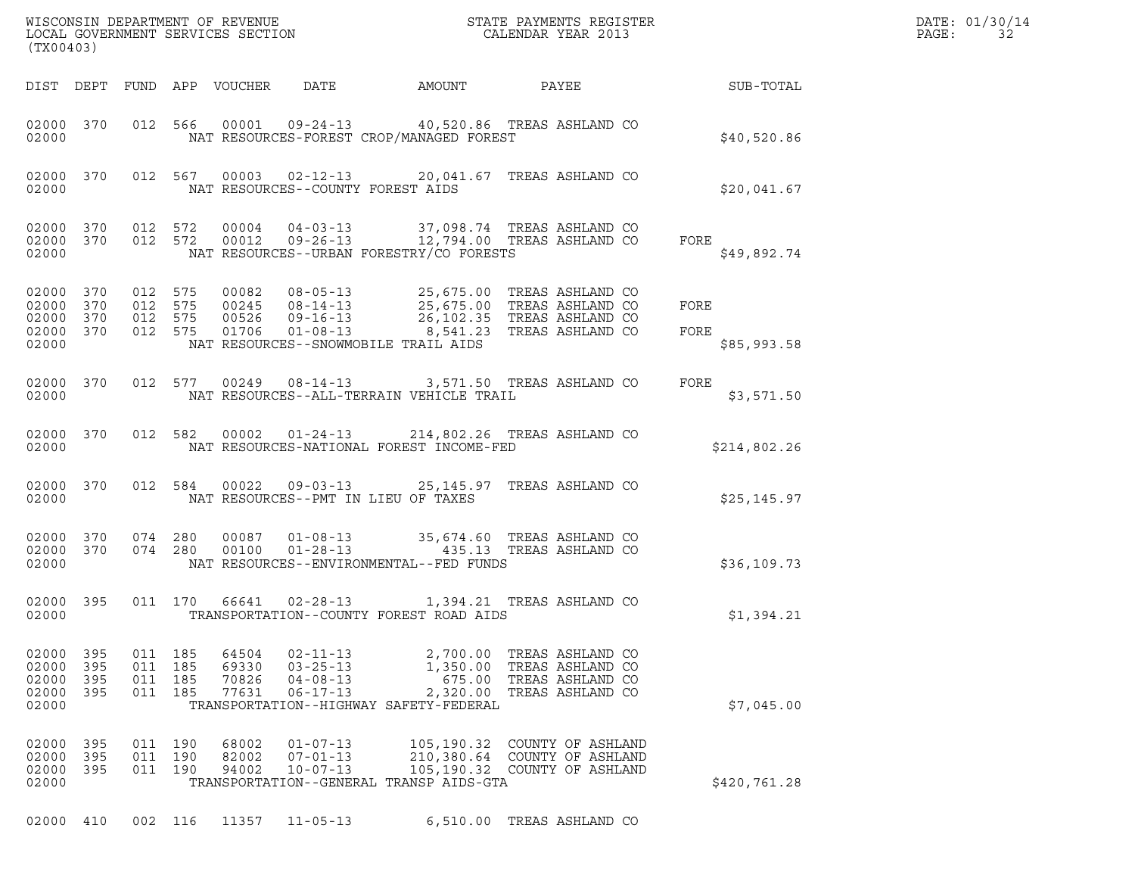|       | DATE: 01/30/14 |
|-------|----------------|
| PAGE: | -32            |

| (TX00403)                                         |                          |                                          |                              |                                  |                                                                      |                                                                                      |                                                                                                                                                                                    |                             | DATE: 01/30/14<br>PAGE:<br>32 |
|---------------------------------------------------|--------------------------|------------------------------------------|------------------------------|----------------------------------|----------------------------------------------------------------------|--------------------------------------------------------------------------------------|------------------------------------------------------------------------------------------------------------------------------------------------------------------------------------|-----------------------------|-------------------------------|
|                                                   |                          |                                          |                              | DIST DEPT FUND APP VOUCHER       | DATE                                                                 | <b>AMOUNT</b>                                                                        | PAYEE                                                                                                                                                                              | SUB-TOTAL                   |                               |
| 02000                                             | 02000 370                |                                          |                              |                                  |                                                                      | NAT RESOURCES-FOREST CROP/MANAGED FOREST                                             | 012 566 00001 09-24-13 40,520.86 TREAS ASHLAND CO                                                                                                                                  | \$40,520.86                 |                               |
| 02000                                             | 02000 370                |                                          |                              |                                  | NAT RESOURCES--COUNTY FOREST AIDS                                    |                                                                                      | 012 567 00003 02-12-13 20,041.67 TREAS ASHLAND CO                                                                                                                                  | \$20,041.67                 |                               |
| 02000 370<br>02000                                | 02000 370                | 012 572                                  | 012 572                      | 00004                            |                                                                      | NAT RESOURCES--URBAN FORESTRY/CO FORESTS                                             | 04-03-13 37,098.74 TREAS ASHLAND CO<br>00012  09-26-13  12,794.00 TREAS ASHLAND CO                                                                                                 | FORE<br>\$49,892.74         |                               |
| 02000<br>02000<br>02000 370<br>02000 370<br>02000 | 370<br>370               | 012 575<br>012 575<br>012 575<br>012 575 |                              |                                  | NAT RESOURCES--SNOWMOBILE TRAIL AIDS                                 |                                                                                      | 00082 08-05-13 25,675.00 TREAS ASHLAND CO<br>00245 08-14-13 25,675.00 TREAS ASHLAND CO<br>00526 09-16-13 26,102.35 TREAS ASHLAND CO<br>01706  01-08-13  8,541.23  TREAS ASHLAND CO | FORE<br>FORE<br>\$85,993.58 |                               |
| 02000 370<br>02000                                |                          |                                          |                              |                                  |                                                                      | NAT RESOURCES--ALL-TERRAIN VEHICLE TRAIL                                             | 012 577 00249 08-14-13 3,571.50 TREAS ASHLAND CO                                                                                                                                   | FORE<br>\$3,571.50          |                               |
| 02000                                             | 02000 370                |                                          |                              | 012 582 00002                    |                                                                      | NAT RESOURCES-NATIONAL FOREST INCOME-FED                                             | 01-24-13 214,802.26 TREAS ASHLAND CO                                                                                                                                               | \$214,802.26                |                               |
| 02000 370<br>02000                                |                          |                                          | 012 584                      | 00022                            | NAT RESOURCES--PMT IN LIEU OF TAXES                                  |                                                                                      | 09-03-13 25,145.97 TREAS ASHLAND CO                                                                                                                                                | \$25,145.97                 |                               |
| 02000 370<br>02000                                | 02000 370                |                                          | 074 280<br>074 280           | 00087<br>00100                   |                                                                      | NAT RESOURCES--ENVIRONMENTAL--FED FUNDS                                              | 01-08-13 35,674.60 TREAS ASHLAND CO<br>01-28-13 435.13 TREAS ASHLAND CO                                                                                                            | \$36,109.73                 |                               |
| 02000 395<br>02000                                |                          |                                          |                              |                                  | 011 170 66641 02-28-13                                               | TRANSPORTATION--COUNTY FOREST ROAD AIDS                                              | 1,394.21 TREAS ASHLAND CO                                                                                                                                                          | \$1,394.21                  |                               |
| 02000<br>02000<br>02000<br>02000<br>02000         | 395<br>395<br>395<br>395 | 011<br>011<br>011                        | 185<br>185<br>185<br>011 185 | 64504<br>69330<br>70826<br>77631 | $02 - 11 - 13$<br>$03 - 25 - 13$<br>$04 - 08 - 13$<br>$06 - 17 - 13$ | 2,700.00<br>1,350.00<br>675.00<br>2,320.00<br>TRANSPORTATION--HIGHWAY SAFETY-FEDERAL | TREAS ASHLAND CO<br>TREAS ASHLAND CO<br>TREAS ASHLAND CO<br>TREAS ASHLAND CO                                                                                                       | \$7,045.00                  |                               |
| 02000<br>02000<br>02000<br>02000                  | 395<br>395<br>395        | 011                                      | 011 190<br>190<br>011 190    | 68002<br>82002<br>94002          | $01 - 07 - 13$<br>$07 - 01 - 13$<br>$10 - 07 - 13$                   | 105,190.32<br>210,380.64<br>TRANSPORTATION--GENERAL TRANSP AIDS-GTA                  | COUNTY OF ASHLAND<br>COUNTY OF ASHLAND<br>105,190.32 COUNTY OF ASHLAND                                                                                                             | \$420,761.28                |                               |

02000 410 002 116 11357 11-05-13 6,510.00 TREAS ASHLAND CO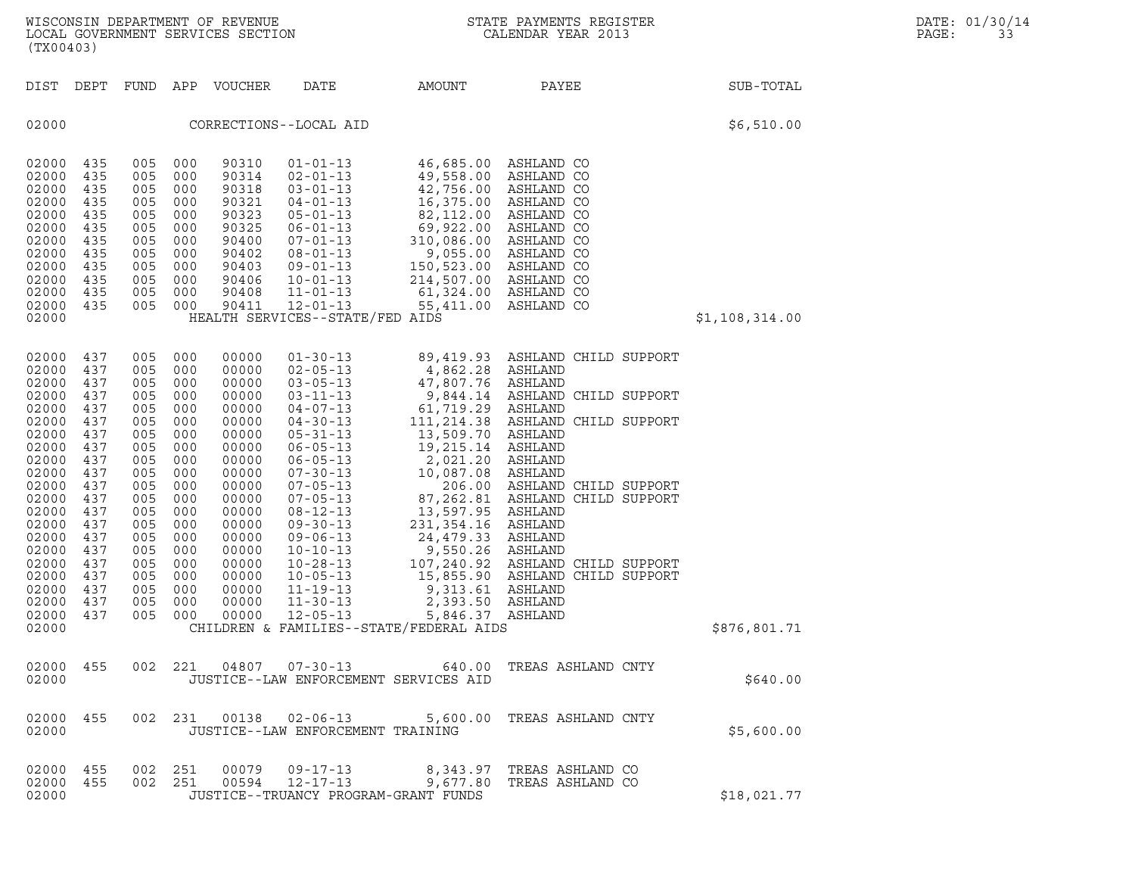| $\mathbf N$<br>WISCONSIN DEPARTMENT OF REVENUE<br>LOCAL GOVERNMENT SERVICES SECTION<br>(TX00403)                                                                                                   |                                                                                                                                                 |                                                                                                                                                 |                                                                                                                                                 |                                                                                                                                                                                           |                                                                                                                                                                                                                                                                                                                                                                                        |                                                                                                                                                                                                                                                                                                                | STATE PAYMENTS REGISTER<br>CALENDAR YEAR 2013                                                                                                                                                                                                                                                                             |                | DATE: 01/30/14<br>PAGE:<br>33 |
|----------------------------------------------------------------------------------------------------------------------------------------------------------------------------------------------------|-------------------------------------------------------------------------------------------------------------------------------------------------|-------------------------------------------------------------------------------------------------------------------------------------------------|-------------------------------------------------------------------------------------------------------------------------------------------------|-------------------------------------------------------------------------------------------------------------------------------------------------------------------------------------------|----------------------------------------------------------------------------------------------------------------------------------------------------------------------------------------------------------------------------------------------------------------------------------------------------------------------------------------------------------------------------------------|----------------------------------------------------------------------------------------------------------------------------------------------------------------------------------------------------------------------------------------------------------------------------------------------------------------|---------------------------------------------------------------------------------------------------------------------------------------------------------------------------------------------------------------------------------------------------------------------------------------------------------------------------|----------------|-------------------------------|
| DIST DEPT                                                                                                                                                                                          |                                                                                                                                                 |                                                                                                                                                 |                                                                                                                                                 | FUND APP VOUCHER                                                                                                                                                                          | DATE                                                                                                                                                                                                                                                                                                                                                                                   | AMOUNT                                                                                                                                                                                                                                                                                                         | PAYEE                                                                                                                                                                                                                                                                                                                     | SUB-TOTAL      |                               |
| 02000                                                                                                                                                                                              |                                                                                                                                                 |                                                                                                                                                 |                                                                                                                                                 |                                                                                                                                                                                           | CORRECTIONS--LOCAL AID                                                                                                                                                                                                                                                                                                                                                                 |                                                                                                                                                                                                                                                                                                                |                                                                                                                                                                                                                                                                                                                           | \$6,510.00     |                               |
| 02000<br>02000<br>02000<br>02000<br>02000<br>02000<br>02000<br>02000<br>02000<br>02000<br>02000<br>02000<br>02000                                                                                  | 435<br>435<br>435<br>435<br>435<br>435<br>435<br>435<br>435<br>435<br>435<br>435                                                                | 005<br>005<br>005<br>005<br>005<br>005<br>005<br>005<br>005<br>005<br>005<br>005                                                                | 000<br>000<br>000<br>000<br>000<br>000<br>000<br>000<br>000<br>000<br>000<br>000                                                                | 90310<br>90314<br>90318<br>90321<br>90323<br>90325<br>90400<br>90402<br>90403<br>90406<br>90408<br>90411                                                                                  | $01 - 01 - 13$<br>$02 - 01 - 13$<br>$03 - 01 - 13$<br>$04 - 01 - 13$<br>$05 - 01 - 13$<br>$06 - 01 - 13$<br>$07 - 01 - 13$<br>$08 - 01 - 13$<br>$09 - 01 - 13$<br>$10 - 01 - 13$<br>$11 - 01 - 13$<br>$12 - 01 - 13$<br>HEALTH SERVICES--STATE/FED AIDS                                                                                                                                | 49,558.00<br>42,756.00<br>16,375.00<br>82,112.00<br>69,922.00<br>310,086.00<br>9,055.00<br>150,523.00<br>214,507.00<br>61,324.00<br>55,411.00                                                                                                                                                                  | 46,685.00 ASHLAND CO<br>ASHLAND CO<br>ASHLAND CO<br>ASHLAND CO<br>ASHLAND CO<br>ASHLAND CO<br>ASHLAND CO<br>ASHLAND CO<br>ASHLAND CO<br>ASHLAND CO<br>ASHLAND CO<br>ASHLAND CO                                                                                                                                            | \$1,108,314.00 |                               |
| 02000<br>02000<br>02000<br>02000<br>02000<br>02000<br>02000<br>02000<br>02000<br>02000<br>02000<br>02000<br>02000<br>02000<br>02000<br>02000<br>02000<br>02000<br>02000<br>02000<br>02000<br>02000 | 437<br>437<br>437<br>437<br>437<br>437<br>437<br>437<br>437<br>437<br>437<br>437<br>437<br>437<br>437<br>437<br>437<br>437<br>437<br>437<br>437 | 005<br>005<br>005<br>005<br>005<br>005<br>005<br>005<br>005<br>005<br>005<br>005<br>005<br>005<br>005<br>005<br>005<br>005<br>005<br>005<br>005 | 000<br>000<br>000<br>000<br>000<br>000<br>000<br>000<br>000<br>000<br>000<br>000<br>000<br>000<br>000<br>000<br>000<br>000<br>000<br>000<br>000 | 00000<br>00000<br>00000<br>00000<br>00000<br>00000<br>00000<br>00000<br>00000<br>00000<br>00000<br>00000<br>00000<br>00000<br>00000<br>00000<br>00000<br>00000<br>00000<br>00000<br>00000 | $01 - 30 - 13$<br>$02 - 05 - 13$<br>$03 - 05 - 13$<br>$03 - 11 - 13$<br>$04 - 07 - 13$<br>$04 - 30 - 13$<br>$05 - 31 - 13$<br>$06 - 05 - 13$<br>$06 - 05 - 13$<br>$07 - 30 - 13$<br>$07 - 05 - 13$<br>$07 - 05 - 13$<br>$08 - 12 - 13$<br>$09 - 30 - 13$<br>$09 - 06 - 13$<br>$10 - 10 - 13$<br>$10 - 28 - 13$<br>$10 - 05 - 13$<br>$11 - 19 - 13$<br>$11 - 30 - 13$<br>$12 - 05 - 13$ | 4,862.28<br>47,807.76 ASHLAND<br>9,844.14<br>61,719.29<br>111,214.38<br>13,509.70<br>19,215.14<br>2,021.20<br>10,087.08<br>206.00<br>87,262.81<br>13,597.95<br>231,354.16<br>24,479.33<br>9,550.26<br>15,855.90<br>9,313.61 ASHLAND<br>2,393.50<br>5,846.37 ASHLAND<br>CHILDREN & FAMILIES--STATE/FEDERAL AIDS | 89,419.93 ASHLAND CHILD SUPPORT<br>ASHLAND<br>ASHLAND CHILD SUPPORT<br>ASHLAND<br>ASHLAND CHILD SUPPORT<br>ASHLAND<br>ASHLAND<br>ASHLAND<br>ASHLAND<br>ASHLAND CHILD SUPPORT<br>ASHLAND CHILD SUPPORT<br>ASHLAND<br>ASHLAND<br>ASHLAND<br>ASHLAND<br>107,240.92 ASHLAND CHILD SUPPORT<br>ASHLAND CHILD SUPPORT<br>ASHLAND | \$876,801.71   |                               |
| 02000                                                                                                                                                                                              |                                                                                                                                                 |                                                                                                                                                 |                                                                                                                                                 |                                                                                                                                                                                           |                                                                                                                                                                                                                                                                                                                                                                                        | JUSTICE--LAW ENFORCEMENT SERVICES AID                                                                                                                                                                                                                                                                          | 02000 455 002 221 04807 07-30-13 640.00 TREAS ASHLAND CNTY                                                                                                                                                                                                                                                                | \$640.00       |                               |
| 02000                                                                                                                                                                                              |                                                                                                                                                 |                                                                                                                                                 |                                                                                                                                                 |                                                                                                                                                                                           | JUSTICE--LAW ENFORCEMENT TRAINING                                                                                                                                                                                                                                                                                                                                                      |                                                                                                                                                                                                                                                                                                                | 02000 455 002 231 00138 02-06-13 5,600.00 TREAS ASHLAND CNTY                                                                                                                                                                                                                                                              | \$5,600.00     |                               |
| 02000 455<br>02000 455<br>02000                                                                                                                                                                    |                                                                                                                                                 | 002 251<br>002 251                                                                                                                              |                                                                                                                                                 |                                                                                                                                                                                           | JUSTICE--TRUANCY PROGRAM-GRANT FUNDS                                                                                                                                                                                                                                                                                                                                                   |                                                                                                                                                                                                                                                                                                                | 00079    09-17-13             8,343.97   TREAS ASHLAND CO<br>00594   12-17-13            9,677.80   TREAS ASHLAND CO                                                                                                                                                                                                      | \$18,021.77    |                               |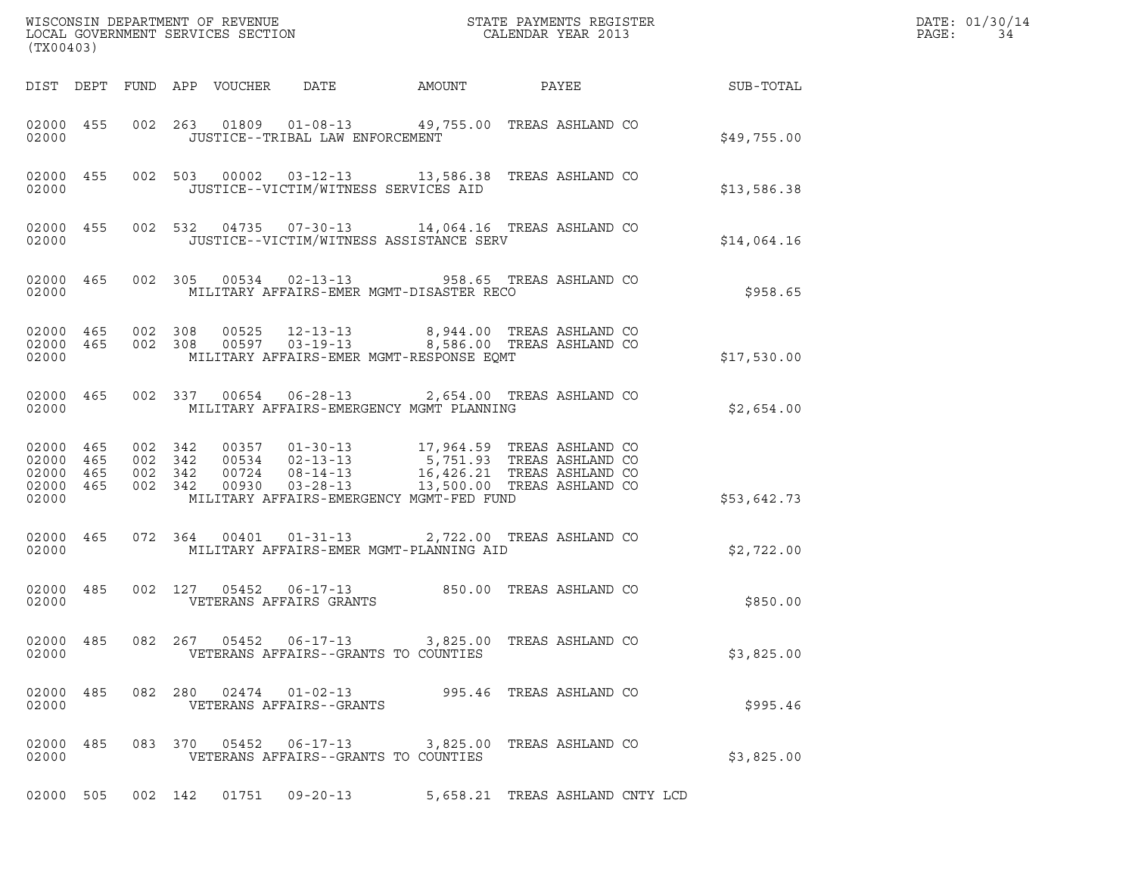| (TX00403)                                                 |  |                    |                    |                                 |                                                    |                                                                                                                                                                                                                       |  |                                 |                 | DATE: 01/30/14<br>PAGE:<br>34 |
|-----------------------------------------------------------|--|--------------------|--------------------|---------------------------------|----------------------------------------------------|-----------------------------------------------------------------------------------------------------------------------------------------------------------------------------------------------------------------------|--|---------------------------------|-----------------|-------------------------------|
|                                                           |  |                    |                    | DIST DEPT FUND APP VOUCHER DATE |                                                    | AMOUNT                                                                                                                                                                                                                |  |                                 | PAYEE SUB-TOTAL |                               |
| 02000 455<br>02000                                        |  |                    |                    |                                 | JUSTICE--TRIBAL LAW ENFORCEMENT                    | 002  263  01809  01-08-13  49,755.00 TREAS ASHLAND CO                                                                                                                                                                 |  |                                 | \$49,755.00     |                               |
| 02000                                                     |  |                    |                    |                                 |                                                    | 02000 455 002 503 00002 03-12-13 13,586.38 TREAS ASHLAND CO<br>JUSTICE--VICTIM/WITNESS SERVICES AID                                                                                                                   |  |                                 | \$13,586.38     |                               |
| 02000 455<br>02000                                        |  |                    |                    |                                 |                                                    | 002 532 04735 07-30-13 14,064.16 TREAS ASHLAND CO<br>JUSTICE--VICTIM/WITNESS ASSISTANCE SERV                                                                                                                          |  |                                 | \$14,064.16     |                               |
| 02000                                                     |  |                    |                    |                                 |                                                    | 02000 465 002 305 00534 02-13-13 958.65 TREAS ASHLAND CO<br>MILITARY AFFAIRS-EMER MGMT-DISASTER RECO                                                                                                                  |  |                                 | \$958.65        |                               |
| 02000                                                     |  |                    |                    |                                 |                                                    | 02000 465 002 308 00525 12-13-13 8,944.00 TREAS ASHLAND CO 02000 465 002 308 00597 03-19-13 8,586.00 TREAS ASHLAND CO<br>MILITARY AFFAIRS-EMER MGMT-RESPONSE EQMT                                                     |  |                                 | \$17,530.00     |                               |
| 02000 465<br>02000                                        |  |                    |                    |                                 |                                                    | 002 337 00654 06-28-13 2,654.00 TREAS ASHLAND CO<br>MILITARY AFFAIRS-EMERGENCY MGMT PLANNING                                                                                                                          |  |                                 | \$2,654.00      |                               |
| 02000 465<br>02000 465<br>02000 465<br>02000 465<br>02000 |  | 002 342<br>002 342 | 002 342<br>002 342 |                                 | 00930  03-28-13                                    | 00357  01-30-13  17,964.59  TREAS ASHLAND CO<br>00534  02-13-13  5,751.93  TREAS ASHLAND CO<br>00724  08-14-13  16,426.21  TREAS ASHLAND CO<br>13,500.00 TREAS ASHLAND CO<br>MILITARY AFFAIRS-EMERGENCY MGMT-FED FUND |  |                                 | \$53,642.73     |                               |
| 02000 465<br>02000                                        |  |                    |                    |                                 |                                                    | 072  364  00401  01-31-13  2,722.00  TREAS ASHLAND CO<br>MILITARY AFFAIRS-EMER MGMT-PLANNING AID                                                                                                                      |  |                                 | \$2,722.00      |                               |
| 02000 485<br>02000                                        |  |                    |                    |                                 | VETERANS AFFAIRS GRANTS                            | 002 127 05452 06-17-13 850.00 TREAS ASHLAND CO                                                                                                                                                                        |  |                                 | \$850.00        |                               |
| 02000 485<br>02000                                        |  |                    |                    |                                 |                                                    | 082  267  05452  06-17-13  3,825.00 TREAS ASHLAND CO<br>VETERANS AFFAIRS--GRANTS TO COUNTIES                                                                                                                          |  |                                 | \$3,825.00      |                               |
| 02000 485<br>02000                                        |  |                    |                    |                                 | 082 280 02474 01-02-13<br>VETERANS AFFAIRS--GRANTS | 995.46   TREAS ASHLAND CO                                                                                                                                                                                             |  |                                 | \$995.46        |                               |
| 02000 485<br>02000                                        |  |                    |                    | 083 370 05452                   |                                                    | 06-17-13 3,825.00 TREAS ASHLAND CO<br>VETERANS AFFAIRS--GRANTS TO COUNTIES                                                                                                                                            |  |                                 | \$3,825.00      |                               |
| 02000 505                                                 |  |                    | 002 142            |                                 |                                                    |                                                                                                                                                                                                                       |  | 5,658.21 TREAS ASHLAND CNTY LCD |                 |                               |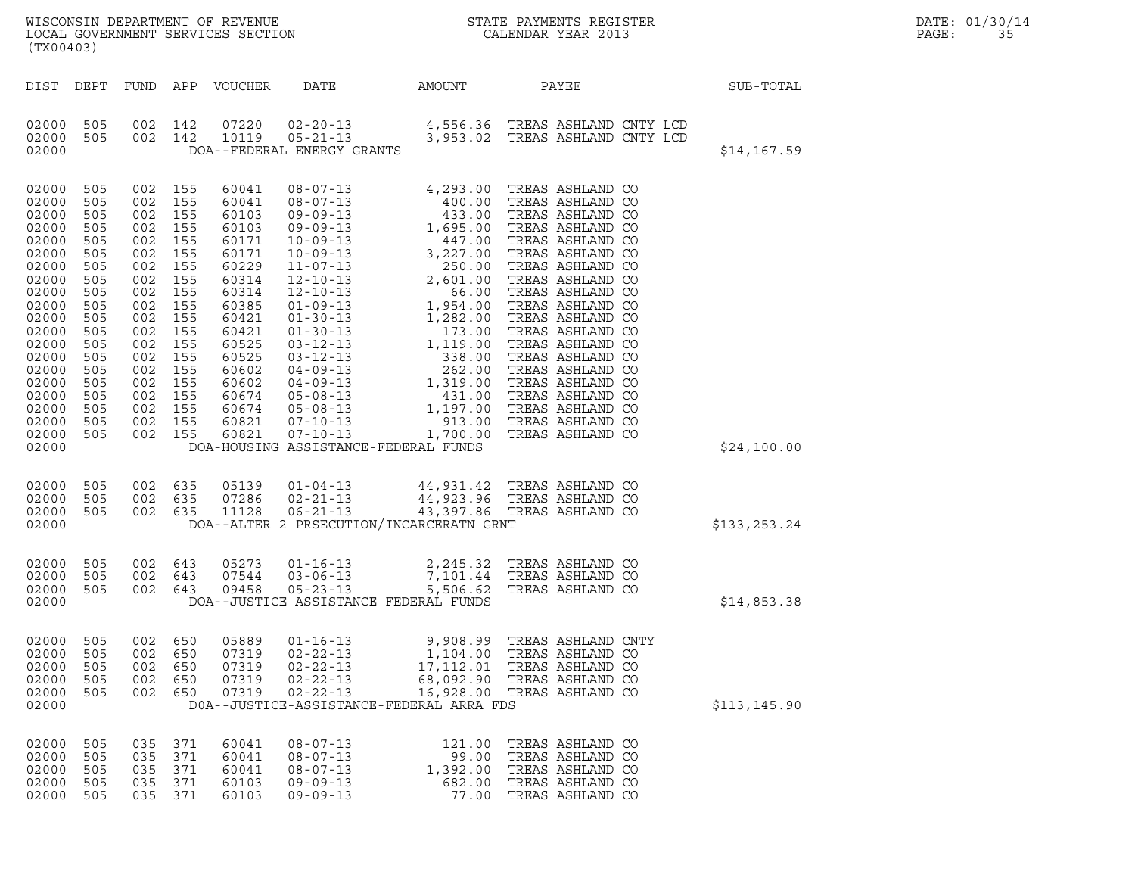|       | DATE: 01/30/14 |
|-------|----------------|
| PAGE: | 35             |

| (TX00403)                                                                                                                                                                                 |                                                                                                                                          |                                                                                                                                          |                                                                                                                                          |                                                                                                                                                                                  |                                                                                        |                                                |                                                                                                                                                                               |               |
|-------------------------------------------------------------------------------------------------------------------------------------------------------------------------------------------|------------------------------------------------------------------------------------------------------------------------------------------|------------------------------------------------------------------------------------------------------------------------------------------|------------------------------------------------------------------------------------------------------------------------------------------|----------------------------------------------------------------------------------------------------------------------------------------------------------------------------------|----------------------------------------------------------------------------------------|------------------------------------------------|-------------------------------------------------------------------------------------------------------------------------------------------------------------------------------|---------------|
| DIST                                                                                                                                                                                      | DEPT                                                                                                                                     | FUND APP                                                                                                                                 |                                                                                                                                          | VOUCHER                                                                                                                                                                          | DATE                                                                                   | AMOUNT                                         | PAYEE                                                                                                                                                                         | SUB-TOTAL     |
| 02000<br>02000<br>02000                                                                                                                                                                   | 505<br>505                                                                                                                               | 002<br>002                                                                                                                               | 142<br>142                                                                                                                               |                                                                                                                                                                                  | DOA--FEDERAL ENERGY GRANTS                                                             |                                                | 07220  02-20-13  4,556.36  TREAS ASHLAND CNTY LCD<br>10119  05-21-13  3,953.02  TREAS ASHLAND CNTY LCD                                                                        | \$14,167.59   |
| 02000<br>02000<br>02000<br>02000<br>02000<br>02000<br>02000<br>02000<br>02000<br>02000<br>02000<br>02000<br>02000<br>02000<br>02000<br>02000<br>02000<br>02000<br>02000<br>02000<br>02000 | 505<br>505<br>505<br>505<br>505<br>505<br>505<br>505<br>505<br>505<br>505<br>505<br>505<br>505<br>505<br>505<br>505<br>505<br>505<br>505 | 002<br>002<br>002<br>002<br>002<br>002<br>002<br>002<br>002<br>002<br>002<br>002<br>002<br>002<br>002<br>002<br>002<br>002<br>002<br>002 | 155<br>155<br>155<br>155<br>155<br>155<br>155<br>155<br>155<br>155<br>155<br>155<br>155<br>155<br>155<br>155<br>155<br>155<br>155<br>155 | 60041<br>60041<br>60103<br>60103<br>60171<br>60171<br>60229<br>60314<br>60314<br>60385<br>60421<br>60421<br>60525<br>60525<br>60602<br>60602<br>60674<br>60674<br>60821<br>60821 |                                                                                        | DOA-HOUSING ASSISTANCE-FEDERAL FUNDS           |                                                                                                                                                                               | \$24,100.00   |
| 02000<br>02000<br>02000<br>02000                                                                                                                                                          | 505<br>505<br>505                                                                                                                        |                                                                                                                                          | 002 635<br>002 635                                                                                                                       | 002 635 07286                                                                                                                                                                    |                                                                                        | DOA--ALTER 2 PRSECUTION/INCARCERATN GRNT       | 05139  01-04-13  44,931.42  TREAS ASHLAND CO<br>07286  02-21-13  44,923.96  TREAS ASHLAND CO<br>11128  06-21-13  43,397.86  TREAS ASHLAND CO                                  | \$133,253.24  |
| 02000<br>02000<br>02000<br>02000                                                                                                                                                          | 505<br>505<br>505                                                                                                                        | 002                                                                                                                                      | 643<br>002 643<br>002 643                                                                                                                | 07544<br>09458                                                                                                                                                                   | 05273  01-16-13                                                                        | DOA--JUSTICE ASSISTANCE FEDERAL FUNDS          | 01-16-13<br>03-06-13<br>2,245.32 TREAS ASHLAND CO<br>05-23-13<br>5,506.62 TPFAS ASHLAND CO                                                                                    | \$14,853.38   |
| 02000<br>02000<br>02000<br>02000<br>02000<br>02000                                                                                                                                        | 505<br>505<br>505<br>505<br>505                                                                                                          | 002<br>002<br>002<br>002                                                                                                                 | 650<br>650<br>650<br>650<br>002 650                                                                                                      | 05889<br>07319<br>07319<br>07319                                                                                                                                                 | $02 - 22 - 13$                                                                         | DOA--JUSTICE-ASSISTANCE-FEDERAL ARRA FDS       | 01-16-13 9,908.99 TREAS ASHLAND CNTY<br>02-22-13 1,104.00 TREAS ASHLAND CO<br>02-22-13 17,112.01 TREAS ASHLAND CO<br>68,092.90 TREAS ASHLAND CO<br>16,928.00 TREAS ASHLAND CO | \$113, 145.90 |
| 02000<br>02000<br>02000<br>02000<br>02000                                                                                                                                                 | 505<br>505<br>505<br>505<br>505                                                                                                          | 035<br>035<br>035<br>035<br>035                                                                                                          | 371<br>371<br>371<br>371<br>371                                                                                                          | 60041<br>60041<br>60041<br>60103<br>60103                                                                                                                                        | $08 - 07 - 13$<br>$08 - 07 - 13$<br>$08 - 07 - 13$<br>$09 - 09 - 13$<br>$09 - 09 - 13$ | 121.00<br>99.00<br>1,392.00<br>682.00<br>77.00 | TREAS ASHLAND CO<br>TREAS ASHLAND CO<br>TREAS ASHLAND CO<br>TREAS ASHLAND CO<br>TREAS ASHLAND CO                                                                              |               |
|                                                                                                                                                                                           |                                                                                                                                          |                                                                                                                                          |                                                                                                                                          |                                                                                                                                                                                  |                                                                                        |                                                |                                                                                                                                                                               |               |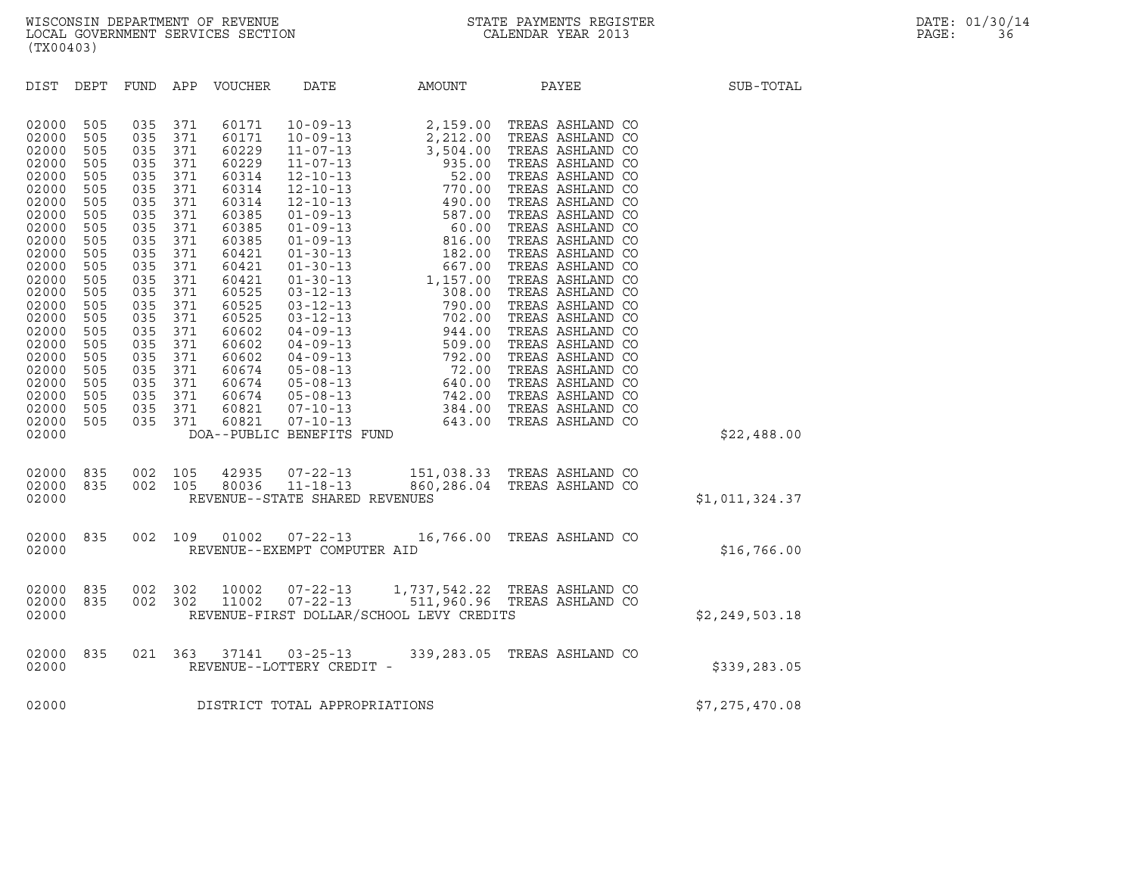| (TX00403)                                                                                                                                                                                                                                                                                                                                                                                                                                                                                                                                                                     |                                                                                                                                                                                                                                                                                                                                                                                                                           |                            |                                                              |                  |
|-------------------------------------------------------------------------------------------------------------------------------------------------------------------------------------------------------------------------------------------------------------------------------------------------------------------------------------------------------------------------------------------------------------------------------------------------------------------------------------------------------------------------------------------------------------------------------|---------------------------------------------------------------------------------------------------------------------------------------------------------------------------------------------------------------------------------------------------------------------------------------------------------------------------------------------------------------------------------------------------------------------------|----------------------------|--------------------------------------------------------------|------------------|
| DIST<br>DEPT<br>FUND                                                                                                                                                                                                                                                                                                                                                                                                                                                                                                                                                          | APP<br>VOUCHER<br>DATE                                                                                                                                                                                                                                                                                                                                                                                                    | AMOUNT                     | PAYEE                                                        | SUB-TOTAL        |
| 02000<br>505<br>035<br>035<br>02000<br>505<br>505<br>035<br>02000<br>035<br>02000<br>505<br>02000<br>505<br>035<br>035<br>02000<br>505<br>02000<br>505<br>035<br>02000<br>505<br>035<br>035<br>02000<br>505<br>035<br>02000<br>505<br>02000<br>505<br>035<br>035<br>02000<br>505<br>02000<br>505<br>035<br>035<br>02000<br>505<br>02000<br>505<br>035<br>02000<br>505<br>035<br>02000<br>505<br>035<br>02000<br>505<br>035<br>02000<br>035<br>505<br>035<br>02000<br>505<br>02000<br>035<br>505<br>035<br>02000<br>505<br>035<br>02000<br>505<br>035<br>02000<br>505<br>02000 | 371<br>60171<br>371<br>60171<br>60229<br>371<br>371<br>60229<br>371<br>60314<br>371<br>60314<br>371<br>60314<br>371<br>60385<br>371<br>60385<br>371<br>60385<br>371<br>60421<br>371<br>60421<br>371<br>60421<br>371<br>60525<br>371<br>60525<br>371<br>60525<br>371<br>60602<br>371<br>60602<br>371<br>60602<br>371<br>60674<br>371<br>60674<br>371<br>60674<br>371<br>60821<br>371<br>60821<br>DOA--PUBLIC BENEFITS FUND |                            |                                                              | \$22,488.00      |
| 835<br>002<br>02000<br>835<br>002<br>02000<br>02000                                                                                                                                                                                                                                                                                                                                                                                                                                                                                                                           | 105<br>42935<br>105<br>80036<br>REVENUE--STATE SHARED REVENUES                                                                                                                                                                                                                                                                                                                                                            |                            |                                                              | \$1,011,324.37   |
| 002<br>835<br>02000<br>02000                                                                                                                                                                                                                                                                                                                                                                                                                                                                                                                                                  | $07 - 22 - 13$<br>109<br>01002<br>REVENUE--EXEMPT COMPUTER AID                                                                                                                                                                                                                                                                                                                                                            |                            | 16,766.00 TREAS ASHLAND CO                                   | \$16,766.00      |
| 02000<br>835<br>002<br>02000<br>835<br>002<br>02000                                                                                                                                                                                                                                                                                                                                                                                                                                                                                                                           | 302<br>10002<br>$07 - 22 - 13$<br>11002<br>$07 - 22 - 13$<br>302<br>REVENUE-FIRST DOLLAR/SCHOOL LEVY CREDITS                                                                                                                                                                                                                                                                                                              |                            | 1,737,542.22 TREAS ASHLAND CO<br>511,960.96 TREAS ASHLAND CO | \$2, 249, 503.18 |
| 021<br>02000<br>835<br>02000                                                                                                                                                                                                                                                                                                                                                                                                                                                                                                                                                  | 363<br>37141<br>REVENUE--LOTTERY CREDIT -                                                                                                                                                                                                                                                                                                                                                                                 | $03 - 25 - 13$ 339, 283.05 | TREAS ASHLAND CO                                             | \$339,283.05     |
| 02000                                                                                                                                                                                                                                                                                                                                                                                                                                                                                                                                                                         | DISTRICT TOTAL APPROPRIATIONS                                                                                                                                                                                                                                                                                                                                                                                             |                            |                                                              | \$7,275,470.08   |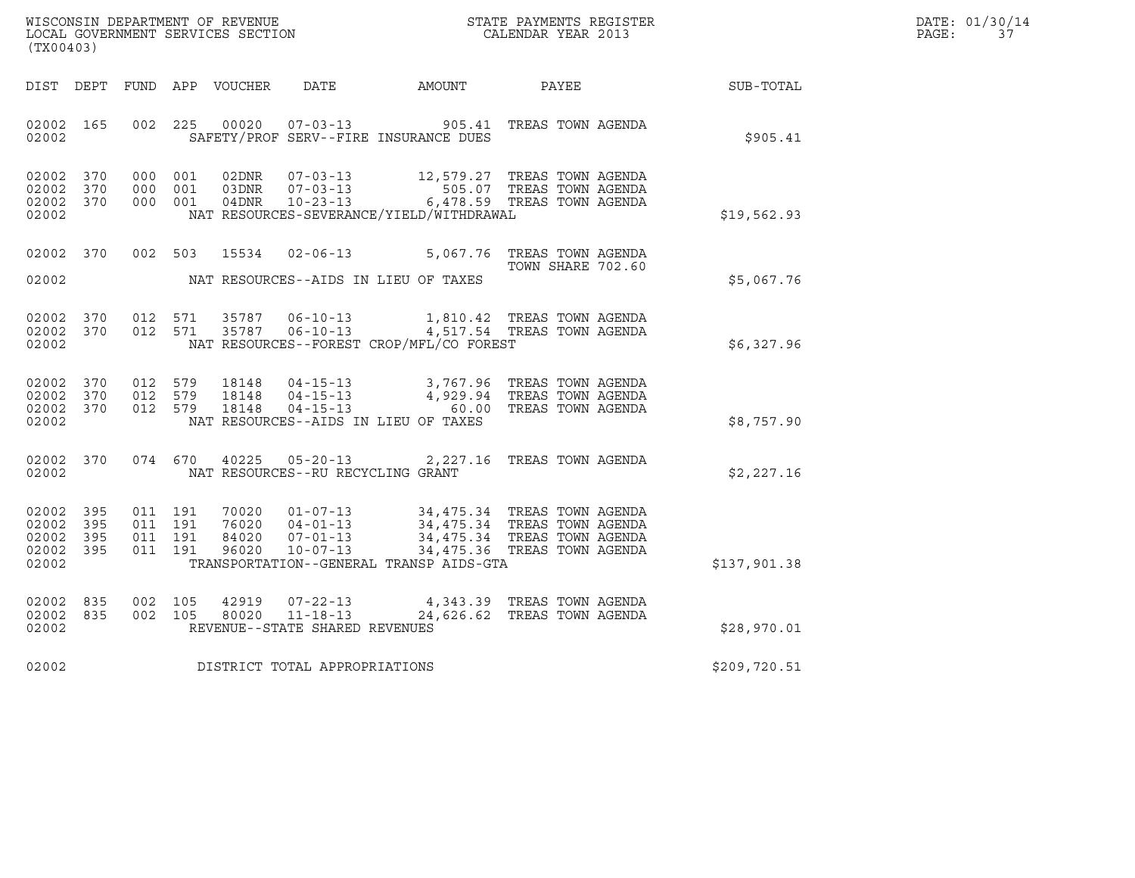|       | DATE: 01/30/14 |
|-------|----------------|
| PAGE: | 37             |

| (TX00403)                                                                                             |                                                                                                                                                                                                                                                                                          |                            |                  | DATE: 01/30/14<br>PAGE: 37 |
|-------------------------------------------------------------------------------------------------------|------------------------------------------------------------------------------------------------------------------------------------------------------------------------------------------------------------------------------------------------------------------------------------------|----------------------------|------------------|----------------------------|
|                                                                                                       | DIST DEPT FUND APP VOUCHER DATE AMOUNT PAYEE                                                                                                                                                                                                                                             |                            | <b>SUB-TOTAL</b> |                            |
| 02002 165<br>002 225<br>02002                                                                         | 00020  07-03-13  905.41 TREAS TOWN AGENDA<br>SAFETY/PROF SERV--FIRE INSURANCE DUES                                                                                                                                                                                                       |                            | \$905.41         |                            |
| 02002 370<br>02002 370<br>02002 370<br>02002                                                          | 000 001 02DNR 07-03-13 12,579.27 TREAS TOWN AGENDA<br>000 001 03DNR 07-03-13 505.07 TREAS TOWN AGENDA<br>000 001 04DNR 10-23-13 6,478.59 TREAS TOWN AGENDA<br>NAT RESOURCES-SEVERANCE/YIELD/WITHDRAWAL                                                                                   |                            | \$19,562.93      |                            |
| 02002                                                                                                 | 02002 370 002 503 15534 02-06-13 5,067.76 TREAS TOWN AGENDA<br>NAT RESOURCES--AIDS IN LIEU OF TAXES                                                                                                                                                                                      | TOWN SHARE 702.60          | \$5,067.76       |                            |
| 02002 370<br>012 571<br>02002 370<br>02002                                                            | 35787   06-10-13   1,810.42   TREAS TOWN AGENDA<br>012 571 35787 06-10-13 4,517.54 TREAS TOWN AGENDA<br>NAT RESOURCES--FOREST CROP/MFL/CO FOREST                                                                                                                                         |                            | \$6,327.96       |                            |
| 02002 370<br>02002 370<br>02002 370<br>02002                                                          | 012 579 18148 04-15-13 3,767.96 TREAS TOWN AGENDA<br>012 579 18148 04-15-13 4,929.94 TREAS TOWN AGENDA<br>012 579 18148 04-15-13 60.00 TREAS TOWN AGENDA<br>NAT RESOURCES--AIDS IN LIEU OF TAXES                                                                                         |                            | \$8,757.90       |                            |
| 02002                                                                                                 | 02002 370 074 670 40225 05-20-13 2,227.16 TREAS TOWN AGENDA<br>NAT RESOURCES--RU RECYCLING GRANT                                                                                                                                                                                         |                            | \$2,227.16       |                            |
| 02002 395<br>011 191<br>011 191<br>02002 395<br>02002 395<br>011 191<br>02002 395<br>011 191<br>02002 | $\begin{tabular}{cccc} 70020 & 01-07-13 & 34,475.34 TREAS TOWN AGENDA \\ 76020 & 04-01-13 & 34,475.34 TREAS TOWN AGENDA \\ 84020 & 07-01-13 & 34,475.34 TREAS TOWN AGENDA \\ 96020 & 10-07-13 & 34,475.36 TREAS TOWN AGENDA \\ \end{tabular}$<br>TRANSPORTATION--GENERAL TRANSP AIDS-GTA |                            | \$137,901.38     |                            |
| 02002 835<br>002 105<br>02002 835<br>002 105<br>02002                                                 | 42919<br>07-22-13<br>80020 11-18-13 4,543.35 1000 1000 1000 11-18-13<br>REVENUE--STATE SHARED REVENUES                                                                                                                                                                                   | 4,343.39 TREAS TOWN AGENDA | \$28,970.01      |                            |
| 02002                                                                                                 | DISTRICT TOTAL APPROPRIATIONS                                                                                                                                                                                                                                                            |                            | \$209,720.51     |                            |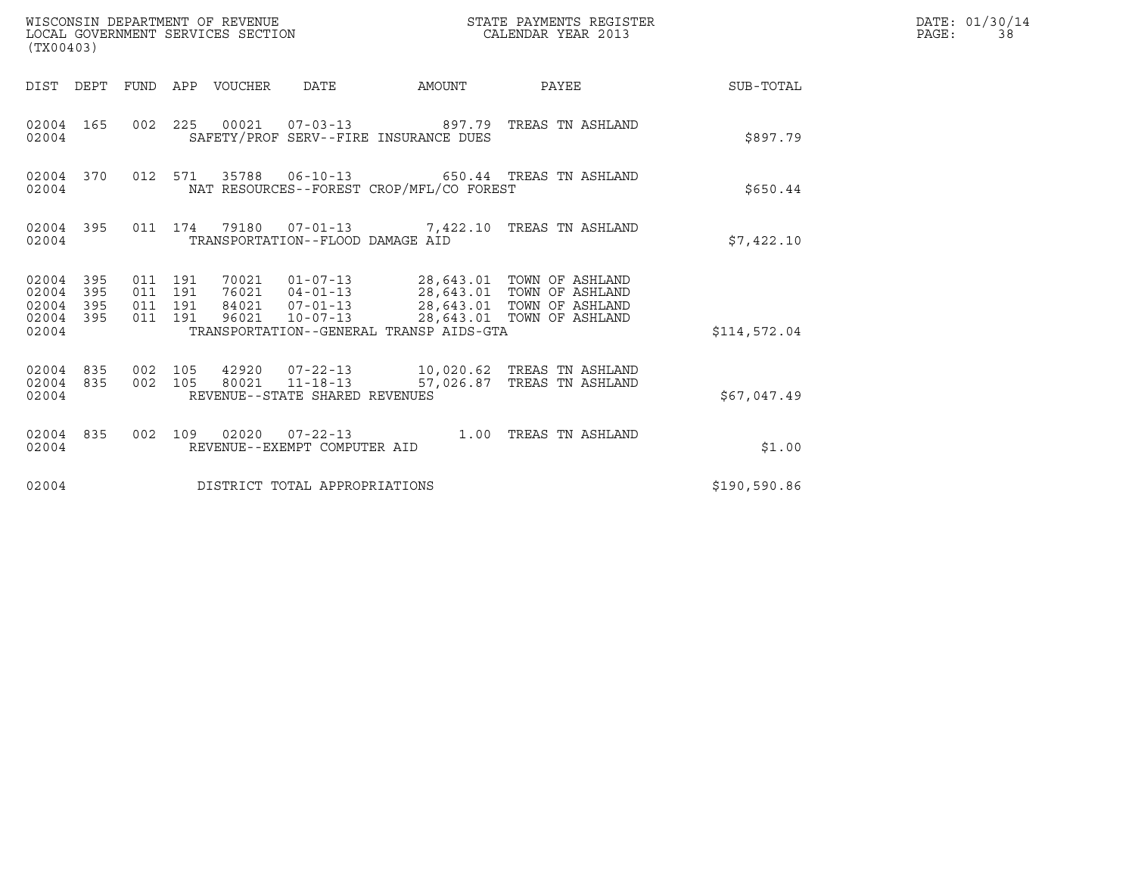| WISCONSIN DEPARTMENT OF REVENUE<br>LOCAL GOVERNMENT SERVICES SECTION<br>(TX00403) |            |                                          |  |                                 |                                                  |                                          | STATE PAYMENTS REGISTER<br>CALENDAR YEAR 2013                                                                                                                                            |              | DATE: 01/30/14<br>PAGE:<br>38 |
|-----------------------------------------------------------------------------------|------------|------------------------------------------|--|---------------------------------|--------------------------------------------------|------------------------------------------|------------------------------------------------------------------------------------------------------------------------------------------------------------------------------------------|--------------|-------------------------------|
|                                                                                   |            |                                          |  | DIST DEPT FUND APP VOUCHER DATE |                                                  | AMOUNT                                   | PAYEE                                                                                                                                                                                    | SUB-TOTAL    |                               |
| 02004 165<br>02004                                                                |            |                                          |  |                                 |                                                  | SAFETY/PROF SERV--FIRE INSURANCE DUES    | 002 225 00021 07-03-13 897.79 TREAS TN ASHLAND                                                                                                                                           | \$897.79     |                               |
| 02004 370<br>02004                                                                |            |                                          |  |                                 |                                                  | NAT RESOURCES--FOREST CROP/MFL/CO FOREST | 012 571 35788 06-10-13 650.44 TREAS TN ASHLAND                                                                                                                                           | \$650.44     |                               |
| 02004 395<br>02004                                                                |            |                                          |  |                                 | TRANSPORTATION--FLOOD DAMAGE AID                 |                                          | 011 174 79180 07-01-13 7,422.10 TREAS TN ASHLAND                                                                                                                                         | \$7,422.10   |                               |
| 02004 395<br>02004<br>02004<br>02004 395<br>02004                                 | 395<br>395 | 011 191<br>011 191<br>011 191<br>011 191 |  |                                 |                                                  | TRANSPORTATION--GENERAL TRANSP AIDS-GTA  | 70021  01-07-13  28,643.01  TOWN OF ASHLAND<br>76021  04-01-13  28,643.01  TOWN OF ASHLAND<br>84021  07-01-13  28,643.01  TOWN OF ASHLAND<br>96021  10-07-13  28,643.01  TOWN OF ASHLAND | \$114,572.04 |                               |
| 02004 835<br>02004 835<br>02004                                                   |            | 002 105<br>002 105                       |  |                                 | 80021 11-18-13<br>REVENUE--STATE SHARED REVENUES |                                          | 57,026.87 TREAS TN ASHLAND                                                                                                                                                               | \$67,047.49  |                               |
| 02004 835<br>02004                                                                |            |                                          |  |                                 | REVENUE--EXEMPT COMPUTER AID                     |                                          | 002 109 02020 07-22-13 1.00 TREAS TN ASHLAND                                                                                                                                             | \$1.00       |                               |
| 02004                                                                             |            |                                          |  |                                 | DISTRICT TOTAL APPROPRIATIONS                    |                                          |                                                                                                                                                                                          | \$190,590.86 |                               |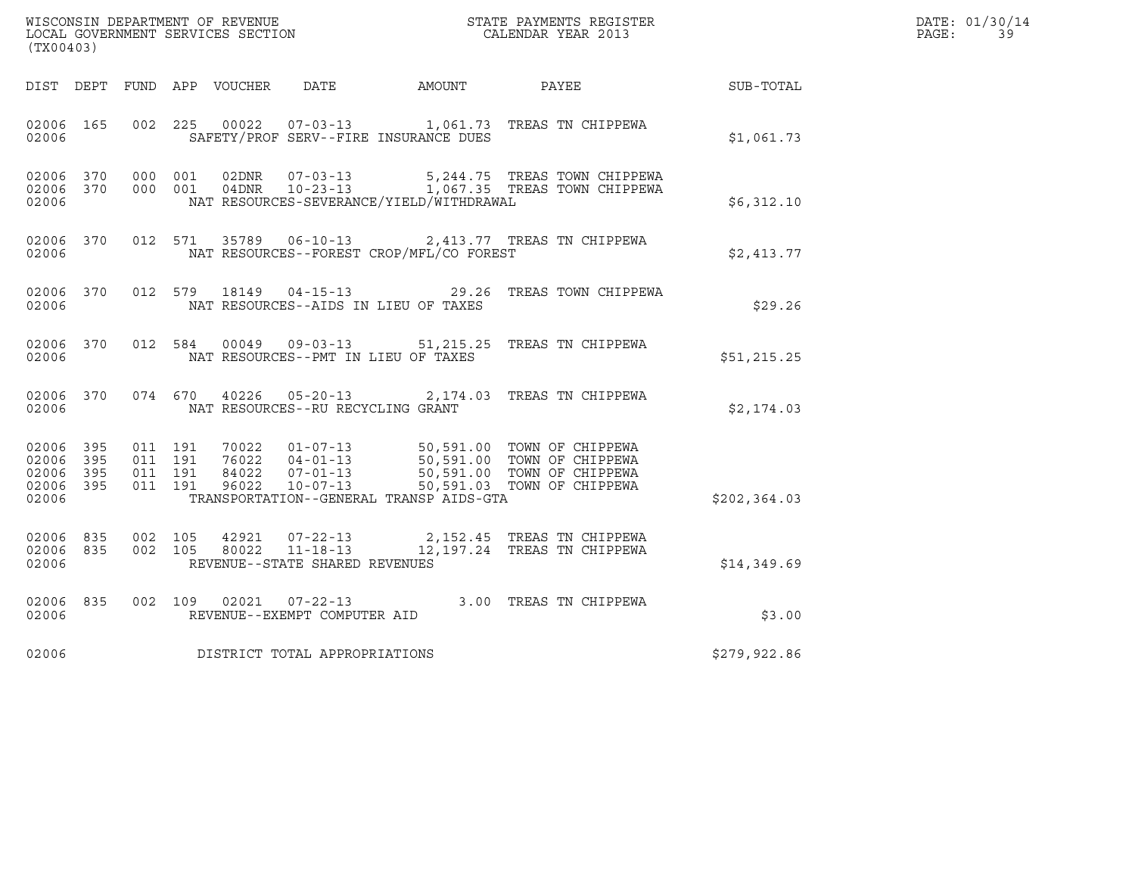| WISCONSIN DEPARTMENT OF REVENUE   | STATE PAYMENTS REGISTER | DATE: 01/30/14 |
|-----------------------------------|-------------------------|----------------|
| LOCAL GOVERNMENT SERVICES SECTION | CALENDAR YEAR 2013      | PAGE:          |

| (TX00403)                                                 |                                          |                                 |                                   | DATE: 01/30/14<br>$\mathtt{PAGE}$ :<br>39 |                                                                                                                                                                                          |               |  |
|-----------------------------------------------------------|------------------------------------------|---------------------------------|-----------------------------------|-------------------------------------------|------------------------------------------------------------------------------------------------------------------------------------------------------------------------------------------|---------------|--|
|                                                           |                                          | DIST DEPT FUND APP VOUCHER DATE |                                   | AMOUNT                                    | PAYEE                                                                                                                                                                                    | SUB-TOTAL     |  |
| 02006 165<br>02006                                        |                                          |                                 |                                   | SAFETY/PROF SERV--FIRE INSURANCE DUES     | 002 225 00022 07-03-13 1,061.73 TREAS TN CHIPPEWA                                                                                                                                        | \$1,061.73    |  |
| 02006 370<br>02006 370<br>02006                           | 000 001<br>000 001                       |                                 |                                   | NAT RESOURCES-SEVERANCE/YIELD/WITHDRAWAL  | 02DNR  07-03-13  5,244.75 TREAS TOWN CHIPPEWA<br>04DNR  10-23-13  1,067.35 TREAS TOWN CHIPPEWA                                                                                           | \$6,312.10    |  |
| 02006 370<br>02006                                        |                                          |                                 |                                   | NAT RESOURCES--FOREST CROP/MFL/CO FOREST  | 012 571 35789 06-10-13 2,413.77 TREAS TN CHIPPEWA                                                                                                                                        | \$2,413.77    |  |
| 02006 370<br>02006                                        |                                          |                                 |                                   | NAT RESOURCES--AIDS IN LIEU OF TAXES      | 012 579 18149 04-15-13 29.26 TREAS TOWN CHIPPEWA                                                                                                                                         | \$29.26       |  |
| 02006 370<br>02006                                        |                                          |                                 |                                   | NAT RESOURCES--PMT IN LIEU OF TAXES       | 012 584 00049 09-03-13 51,215.25 TREAS TN CHIPPEWA                                                                                                                                       | \$51,215.25   |  |
| 02006 370<br>02006                                        |                                          |                                 | NAT RESOURCES--RU RECYCLING GRANT |                                           | 074 670 40226 05-20-13 2,174.03 TREAS TN CHIPPEWA                                                                                                                                        | \$2,174.03    |  |
| 02006 395<br>02006 395<br>02006 395<br>02006 395<br>02006 | 011 191<br>011 191<br>011 191<br>011 191 |                                 |                                   | TRANSPORTATION--GENERAL TRANSP AIDS-GTA   | 70022  01-07-13  50,591.00 TOWN OF CHIPPEWA<br>76022  04-01-13  50,591.00 TOWN OF CHIPPEWA<br>84022  07-01-13  50,591.00 TOWN OF CHIPPEWA<br>96022  10-07-13  50,591.03 TOWN OF CHIPPEWA | \$202, 364.03 |  |
| 02006 835<br>02006 835<br>02006                           | 002 105<br>002 105                       | 42921<br>80022                  | REVENUE--STATE SHARED REVENUES    |                                           | 07-22-13 2,152.45 TREAS TN CHIPPEWA<br>11-18-13 12,197.24 TREAS TN CHIPPEWA                                                                                                              | \$14,349.69   |  |
| 02006 835<br>02006                                        |                                          |                                 | REVENUE--EXEMPT COMPUTER AID      |                                           | 002 109 02021 07-22-13 3.00 TREAS TN CHIPPEWA                                                                                                                                            | \$3.00        |  |
| 02006                                                     |                                          |                                 | DISTRICT TOTAL APPROPRIATIONS     |                                           |                                                                                                                                                                                          | \$279,922.86  |  |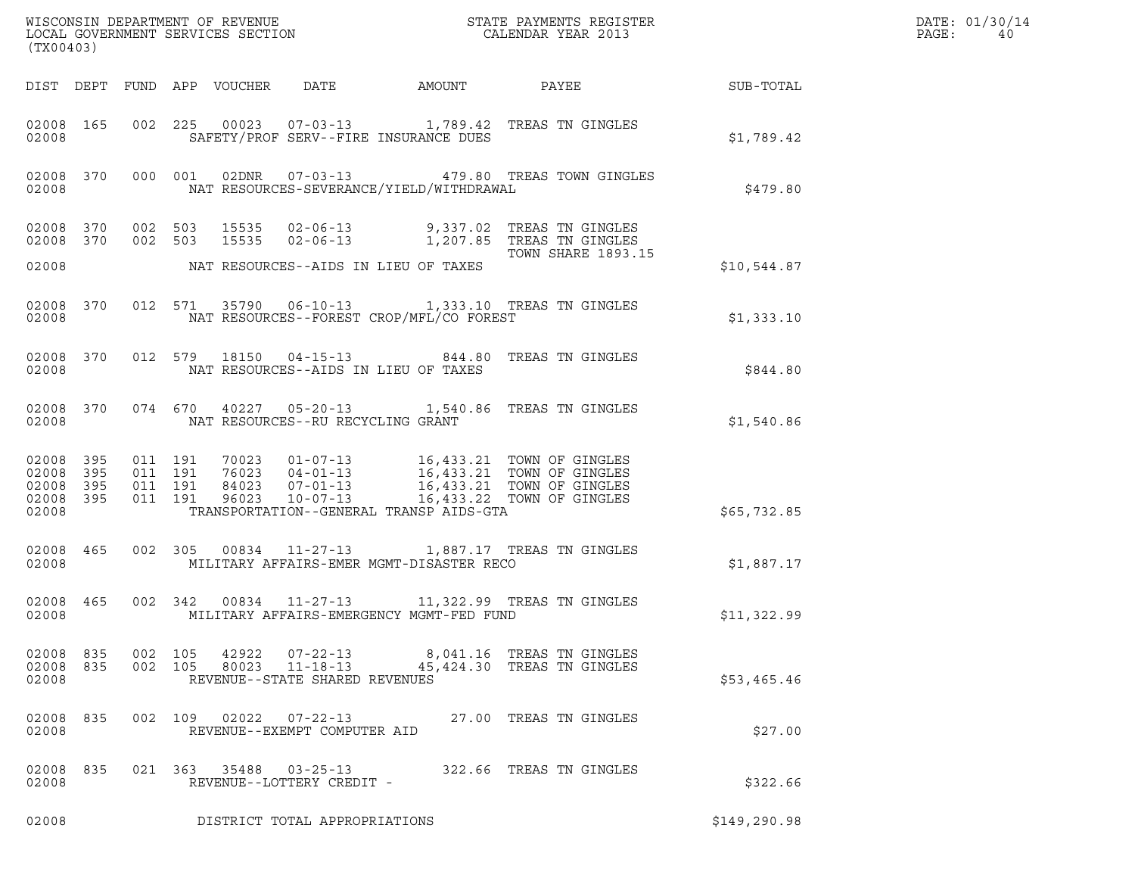| (TX00403)                                                 |     | % WISCONSIN DEPARTMENT OF REVENUE $$\tt STATE~PAYMEMTS~REGISTER~LOCAL~GOVERNMENT~SERVICES~SECTION~CALENDAR~YEAR~2013$                                                                                                                                   |               | DATE: 01/30/14<br>PAGE:<br>40 |
|-----------------------------------------------------------|-----|---------------------------------------------------------------------------------------------------------------------------------------------------------------------------------------------------------------------------------------------------------|---------------|-------------------------------|
|                                                           |     | DIST DEPT FUND APP VOUCHER DATE<br>AMOUNT PAYEE SUB-TOTAL                                                                                                                                                                                               |               |                               |
| 02008 165<br>02008                                        |     | 002 225 00023 07-03-13 1,789.42 TREAS TN GINGLES<br>SAFETY/PROF SERV--FIRE INSURANCE DUES                                                                                                                                                               | \$1,789.42    |                               |
| 02008 370<br>02008                                        |     | 000 001 02DNR 07-03-13 479.80 TREAS TOWN GINGLES<br>NAT RESOURCES-SEVERANCE/YIELD/WITHDRAWAL                                                                                                                                                            | \$479.80      |                               |
| 02008 370<br>02008 370                                    |     | 002 503 15535 02-06-13 9,337.02 TREAS TN GINGLES<br>002 503 15535 02-06-13 1,207.85 TREAS TN GINGLES<br><b>TOWN SHARE 1893.15</b>                                                                                                                       |               |                               |
| 02008                                                     |     | NAT RESOURCES--AIDS IN LIEU OF TAXES                                                                                                                                                                                                                    | \$10,544.87   |                               |
| 02008 370<br>02008                                        |     | 012 571 35790 06-10-13 1,333.10 TREAS TN GINGLES<br>NAT RESOURCES--FOREST CROP/MFL/CO FOREST                                                                                                                                                            | \$1,333.10    |                               |
| 02008 370<br>02008                                        |     | 012 579 18150 04-15-13 844.80 TREAS TN GINGLES<br>NAT RESOURCES--AIDS IN LIEU OF TAXES                                                                                                                                                                  | \$844.80      |                               |
| 02008 370<br>02008                                        |     | 074 670 40227 05-20-13 1,540.86 TREAS TN GINGLES<br>NAT RESOURCES--RU RECYCLING GRANT                                                                                                                                                                   | \$1,540.86    |                               |
| 02008 395<br>02008 395<br>02008 395<br>02008 395<br>02008 |     | 011 191 70023 01-07-13 16,433.21 TOWN OF GINGLES<br>011 191 76023 04-01-13 16,433.21 TOWN OF GINGLES<br>011 191 84023 07-01-13 16,433.21 TOWN OF GINGLES<br>011 191 96023 10-07-13 16,433.22 TOWN OF GINGLES<br>TRANSPORTATION--GENERAL TRANSP AIDS-GTA | \$65,732.85   |                               |
| 02008 465<br>02008                                        |     | 002 305 00834 11-27-13 1,887.17 TREAS TN GINGLES<br>MILITARY AFFAIRS-EMER MGMT-DISASTER RECO                                                                                                                                                            | \$1,887.17    |                               |
| 02008 465<br>02008                                        |     | 002 342 00834 11-27-13 11,322.99 TREAS TN GINGLES<br>MILITARY AFFAIRS-EMERGENCY MGMT-FED FUND                                                                                                                                                           | \$11,322.99   |                               |
| 02008<br>02008 835<br>02008                               | 835 | 002 105<br>42922<br>07-22-13 8,041.16 TREAS TN GINGLES<br>80023<br>002 105<br>11-18-13<br>45,424.30 TREAS TN GINGLES<br>REVENUE--STATE SHARED REVENUES                                                                                                  | \$53,465.46   |                               |
| 02008<br>02008                                            | 835 | 002 109<br>02022<br>07-22-13 27.00 TREAS TN GINGLES<br>REVENUE--EXEMPT COMPUTER AID                                                                                                                                                                     | \$27.00       |                               |
| 02008<br>02008                                            | 835 | 021 363 35488<br>$03 - 25 - 13$<br>322.66 TREAS TN GINGLES<br>REVENUE--LOTTERY CREDIT -                                                                                                                                                                 | \$322.66      |                               |
| 02008                                                     |     | DISTRICT TOTAL APPROPRIATIONS                                                                                                                                                                                                                           | \$149, 290.98 |                               |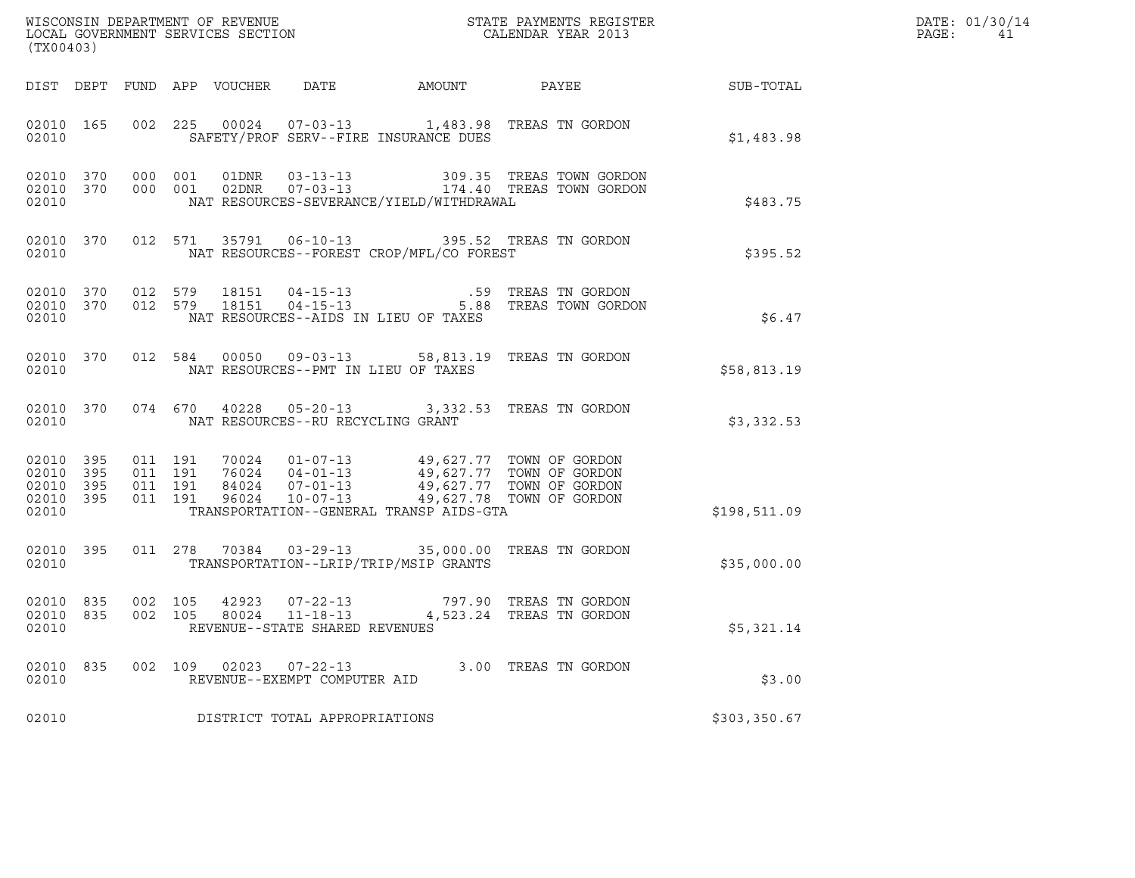| (TX00403)                                |                                |                    |                    |                                                |                                          | ${\tt WISCOONSIM} \begin{tabular}{lcccc} DEPARTMENT OF REVENUE & & & & & & \begin{tabular}{l} \bf STATE} & \bf PAYMENTS \textit{ REGISTER} \\ \hline \textit{LOCAL GOVERNMENT} & \textit{SEVICES} & \textit{SECTION} \end{tabular} & & & & & \begin{tabular}{l} \bf CALENDAR \textit{ YEAR} \end{tabular} \end{tabular}$ |                                                           | DATE: 01/30/14<br>PAGE:<br>41 |
|------------------------------------------|--------------------------------|--------------------|--------------------|------------------------------------------------|------------------------------------------|--------------------------------------------------------------------------------------------------------------------------------------------------------------------------------------------------------------------------------------------------------------------------------------------------------------------------|-----------------------------------------------------------|-------------------------------|
|                                          |                                |                    |                    |                                                |                                          |                                                                                                                                                                                                                                                                                                                          | DIST DEPT FUND APP VOUCHER DATE AMOUNT PAYEE TO SUB-TOTAL |                               |
| 02010                                    | 02010 165                      |                    |                    |                                                | SAFETY/PROF SERV--FIRE INSURANCE DUES    | 002 225 00024 07-03-13 1,483.98 TREAS TN GORDON                                                                                                                                                                                                                                                                          | \$1,483.98                                                |                               |
| 02010                                    | 02010 370 000 001<br>02010 370 |                    | 000 001            |                                                | NAT RESOURCES-SEVERANCE/YIELD/WITHDRAWAL |                                                                                                                                                                                                                                                                                                                          | \$483.75                                                  |                               |
| 02010                                    |                                |                    |                    |                                                | NAT RESOURCES--FOREST CROP/MFL/CO FOREST | 02010 370 012 571 35791 06-10-13 395.52 TREAS TN GORDON                                                                                                                                                                                                                                                                  | \$395.52                                                  |                               |
| 02010                                    |                                |                    |                    |                                                | NAT RESOURCES--AIDS IN LIEU OF TAXES     | 02010 370 012 579 18151 04-15-13 .59 TREAS TN GORDON<br>02010 370 012 579 18151 04-15-13 5.88 TREAS TOWN GORDO<br>5.88 TREAS TOWN GORDON                                                                                                                                                                                 | \$6.47                                                    |                               |
| 02010                                    |                                |                    |                    |                                                | NAT RESOURCES--PMT IN LIEU OF TAXES      | 02010 370 012 584 00050 09-03-13 58,813.19 TREAS TN GORDON                                                                                                                                                                                                                                                               | \$58,813.19                                               |                               |
| 02010                                    |                                |                    |                    | NAT RESOURCES--RU RECYCLING GRANT              |                                          | 02010 370 074 670 40228 05-20-13 3,332.53 TREAS TN GORDON                                                                                                                                                                                                                                                                | \$3,332.53                                                |                               |
| 02010 395<br>02010<br>02010 395<br>02010 | 395<br>02010 395               | 011 191<br>011 191 | 011 191<br>011 191 |                                                | TRANSPORTATION--GENERAL TRANSP AIDS-GTA  | 70024  01-07-13  49,627.77  TOWN OF GORDON<br>76024  04-01-13  49,627.77  TOWN OF GORDON<br>84024  07-01-13  49,627.77  TOWN OF GORDON<br>96024  10-07-13  49,627.78  TOWN OF GORDON                                                                                                                                     | \$198,511.09                                              |                               |
| 02010                                    | 02010 395                      |                    |                    |                                                | TRANSPORTATION--LRIP/TRIP/MSIP GRANTS    | 011  278  70384  03-29-13  35,000.00  TREAS TN GORDON                                                                                                                                                                                                                                                                    | \$35,000.00                                               |                               |
| 02010 835<br>02010 835<br>02010          |                                | 002 105<br>002 105 |                    | REVENUE--STATE SHARED REVENUES                 |                                          | $42923$ $07-22-13$ $797.90$ TREAS TN GORDON $80024$ $11-18-13$ $4,523.24$ TREAS TN GORDON                                                                                                                                                                                                                                | \$5,321.14                                                |                               |
| 02010<br>02010                           | 835                            | 002 109            |                    | 02023 07-22-13<br>REVENUE--EXEMPT COMPUTER AID |                                          | 3.00 TREAS TN GORDON                                                                                                                                                                                                                                                                                                     | \$3.00                                                    |                               |
| 02010                                    |                                |                    |                    | DISTRICT TOTAL APPROPRIATIONS                  |                                          |                                                                                                                                                                                                                                                                                                                          | \$303,350.67                                              |                               |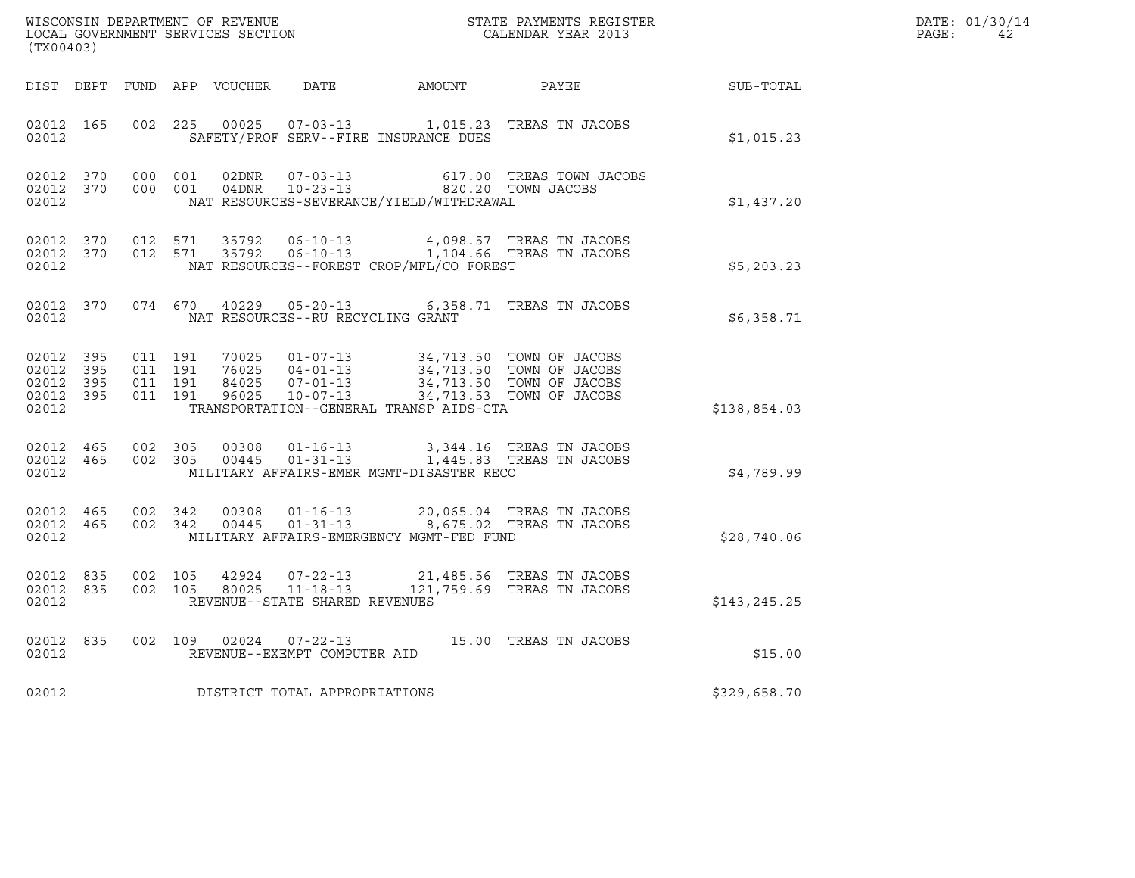| (TX00403)          |                                     |                                          |         |                |                                                     |                                                                                                                                                                                                                                                                                                                     |                                                                                         |               | DATE: 01/30/14<br>PAGE:<br>42 |
|--------------------|-------------------------------------|------------------------------------------|---------|----------------|-----------------------------------------------------|---------------------------------------------------------------------------------------------------------------------------------------------------------------------------------------------------------------------------------------------------------------------------------------------------------------------|-----------------------------------------------------------------------------------------|---------------|-------------------------------|
|                    |                                     |                                          |         |                |                                                     |                                                                                                                                                                                                                                                                                                                     | DIST DEPT FUND APP VOUCHER DATE AMOUNT PAYEE SUB-TOTAL                                  |               |                               |
| 02012              | 02012 165                           |                                          |         |                |                                                     | SAFETY/PROF SERV--FIRE INSURANCE DUES                                                                                                                                                                                                                                                                               | 002 225 00025 07-03-13 1,015.23 TREAS TN JACOBS                                         | \$1,015.23    |                               |
| 02012 370<br>02012 | 02012 370                           | 000 001                                  | 000 001 | 02DNR<br>04DNR | $07 - 03 - 13$                                      | $10-23-13$ 820.20 TOWN JACOBS<br>NAT RESOURCES-SEVERANCE/YIELD/WITHDRAWAL                                                                                                                                                                                                                                           | 617.00 TREAS TOWN JACOBS                                                                | \$1,437.20    |                               |
| 02012              | 02012 370                           | 02012 370 012 571                        | 012 571 |                |                                                     | NAT RESOURCES--FOREST CROP/MFL/CO FOREST                                                                                                                                                                                                                                                                            |                                                                                         | \$5,203.23    |                               |
| 02012 370<br>02012 |                                     |                                          |         | 074 670 40229  | $05 - 20 - 13$<br>NAT RESOURCES--RU RECYCLING GRANT |                                                                                                                                                                                                                                                                                                                     | 6,358.71 TREAS TN JACOBS                                                                | \$6,358.71    |                               |
| 02012 395<br>02012 | 02012 395<br>02012 395<br>02012 395 | 011 191<br>011 191<br>011 191<br>011 191 |         |                |                                                     | $\begin{tabular}{lllllllllllllllllllll} \hline 70025 & 01-07-13 & 34,713.50 & TOWN OF JACOBS \\ 76025 & 04-01-13 & 34,713.50 & TOWN OF JACOBS \\ 84025 & 07-01-13 & 34,713.50 & TOWN OF JACOBS \\ 96025 & 10-07-13 & 34,713.53 & TOWN OF JACOBS \\ \hline \end{tabular}$<br>TRANSPORTATION--GENERAL TRANSP AIDS-GTA |                                                                                         | \$138,854.03  |                               |
| 02012              | 02012 465                           | 02012 465 002 305                        | 002 305 |                | 00308  01-16-13                                     | MILITARY AFFAIRS-EMER MGMT-DISASTER RECO                                                                                                                                                                                                                                                                            | 3,344.16 TREAS TN JACOBS<br>00445  01-31-13  1,445.83  TREAS TN JACOBS                  | \$4,789.99    |                               |
| 02012              | 02012 465                           | 02012 465 002 342<br>002 342             |         | 00308          |                                                     | MILITARY AFFAIRS-EMERGENCY MGMT-FED FUND                                                                                                                                                                                                                                                                            | 01-16-13 20,065.04 TREAS TN JACOBS<br>00445  01-31-13  8,675.02  TREAS TN JACOBS        | \$28,740.06   |                               |
| 02012 835<br>02012 |                                     | 02012 835 002 105<br>002 105             |         |                | REVENUE--STATE SHARED REVENUES                      |                                                                                                                                                                                                                                                                                                                     | $72324$ 07-22-13 21,485.56 TREAS TN JACOBS<br>80025 11-18-13 121.759.69 TREAS TN JACOBS | \$143, 245.25 |                               |
| 02012              | 02012 835                           |                                          |         |                | REVENUE--EXEMPT COMPUTER AID                        |                                                                                                                                                                                                                                                                                                                     | 002 109 02024 07-22-13 15.00 TREAS TN JACOBS                                            | \$15.00       |                               |
| 02012              |                                     |                                          |         |                | DISTRICT TOTAL APPROPRIATIONS                       |                                                                                                                                                                                                                                                                                                                     |                                                                                         | \$329,658.70  |                               |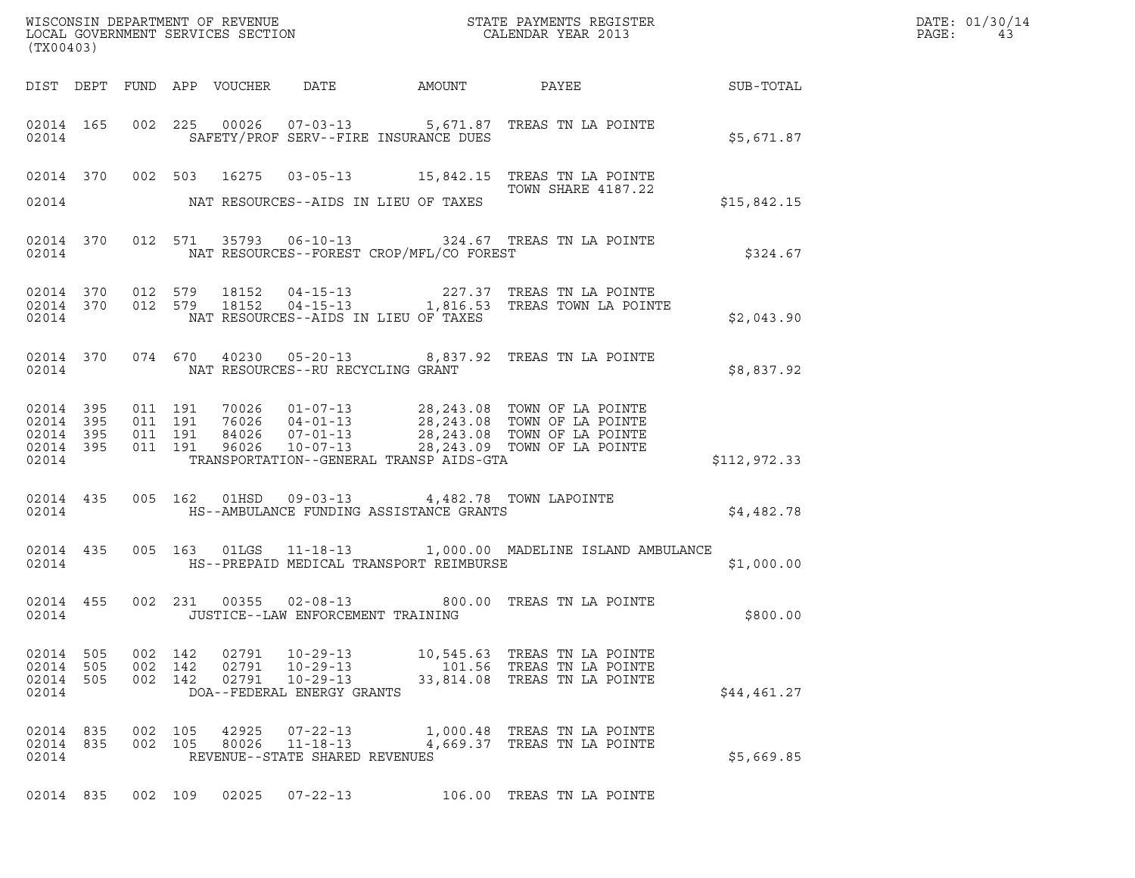|       | DATE: 01/30/14 |
|-------|----------------|
| PAGE: | 43             |

| (TX00403)                        |                                                  |            |                               |                         |                                                                                  |                                                      |                                                                                                                                                                                                                                             |              | DATE: 01/30/14<br>PAGE:<br>43 |
|----------------------------------|--------------------------------------------------|------------|-------------------------------|-------------------------|----------------------------------------------------------------------------------|------------------------------------------------------|---------------------------------------------------------------------------------------------------------------------------------------------------------------------------------------------------------------------------------------------|--------------|-------------------------------|
|                                  |                                                  |            |                               |                         |                                                                                  |                                                      | DIST DEPT FUND APP VOUCHER DATE AMOUNT PAYEE PATE SUB-TOTAL                                                                                                                                                                                 |              |                               |
|                                  | 02014                                            |            |                               |                         |                                                                                  | SAFETY/PROF SERV--FIRE INSURANCE DUES                | 02014 165 002 225 00026 07-03-13 5,671.87 TREAS TN LA POINTE                                                                                                                                                                                | \$5,671.87   |                               |
|                                  |                                                  |            |                               |                         |                                                                                  | 02014 NAT RESOURCES--AIDS IN LIEU OF TAXES           | 02014 370 002 503 16275 03-05-13 15,842.15 TREAS TN LA POINTE<br>TOWN SHARE 4187.22                                                                                                                                                         | \$15,842.15  |                               |
|                                  |                                                  |            |                               |                         |                                                                                  | 02014 NAT RESOURCES--FOREST CROP/MFL/CO FOREST       | 02014 370 012 571 35793 06-10-13 324.67 TREAS TN LA POINTE                                                                                                                                                                                  | \$324.67     |                               |
|                                  |                                                  |            |                               |                         | 02014 NAT RESOURCES--AIDS IN LIEU OF TAXES                                       |                                                      | $\begin{array}{cccccccc} 02014 & 370 & 012 & 579 & 18152 & 04-15-13 & & & 227.37 & \text{TREAS TN LA POINTE} \\ 02014 & 370 & 012 & 579 & 18152 & 04-15-13 & & 1,816.53 & \text{TREAS TOWN LA POINTE} \end{array}$                          | \$2,043.90   |                               |
|                                  |                                                  |            |                               |                         | 02014 NAT RESOURCES--RU RECYCLING GRANT                                          |                                                      | 02014 370 074 670 40230 05-20-13 8,837.92 TREAS TN LA POINTE                                                                                                                                                                                | \$8,837.92   |                               |
| 02014                            | 02014 395<br>02014 395<br>02014 395<br>02014 395 | 011 191    | 011 191<br>011 191<br>011 191 |                         |                                                                                  |                                                      | 70026  01-07-13  28,243.08  TOWN OF LA POINTE<br>76026  04-01-13  28,243.08  TOWN OF LA POINTE<br>84026  07-01-13  28,243.08  TOWN OF LA POINTE<br>96026  10-07-13  28,243.09  TOWN OF LA POINTE<br>TRANSPORTATION--GENERAL TRANSP AIDS-GTA | \$112,972.33 |                               |
|                                  |                                                  |            |                               |                         |                                                                                  | 02014 <b>HS--AMBULANCE FUNDING ASSISTANCE GRANTS</b> | 02014 435 005 162 01HSD 09-03-13 4,482.78 TOWN LAPOINTE                                                                                                                                                                                     | \$4,482.78   |                               |
|                                  |                                                  |            |                               |                         |                                                                                  |                                                      | 02014 435 005 163 01LGS 11-18-13 1,000.00 MADELINE ISLAND AMBULANCE<br>02014 HS--PREPAID MEDICAL TRANSPORT REIMBURSE                                                                                                                        | \$1,000.00   |                               |
|                                  | 02014                                            |            |                               |                         | JUSTICE--LAW ENFORCEMENT TRAINING                                                |                                                      | 02014 455 002 231 00355 02-08-13 800.00 TREAS TN LA POINTE                                                                                                                                                                                  | \$800.00     |                               |
| 02014<br>02014<br>02014<br>02014 | 505<br>505<br>505                                | 002<br>002 | 142<br>142<br>002 142         | 02791<br>02791<br>02791 | $10 - 29 - 13$<br>$10 - 29 - 13$<br>$10 - 29 - 13$<br>DOA--FEDERAL ENERGY GRANTS | 101.56                                               | 10,545.63 TREAS TN LA POINTE<br>TREAS TN LA POINTE<br>33,814.08 TREAS TN LA POINTE                                                                                                                                                          | \$44,461.27  |                               |
| 02014<br>02014 835<br>02014      | 835                                              | 002        | 105<br>002 105                | 42925<br>80026          | $07 - 22 - 13$<br>$11 - 18 - 13$<br>REVENUE--STATE SHARED REVENUES               |                                                      | 1,000.48 TREAS TN LA POINTE<br>4,669.37 TREAS TN LA POINTE                                                                                                                                                                                  | \$5,669.85   |                               |
| 02014 835                        |                                                  |            | 002 109                       | 02025                   | $07 - 22 - 13$                                                                   |                                                      | 106.00 TREAS TN LA POINTE                                                                                                                                                                                                                   |              |                               |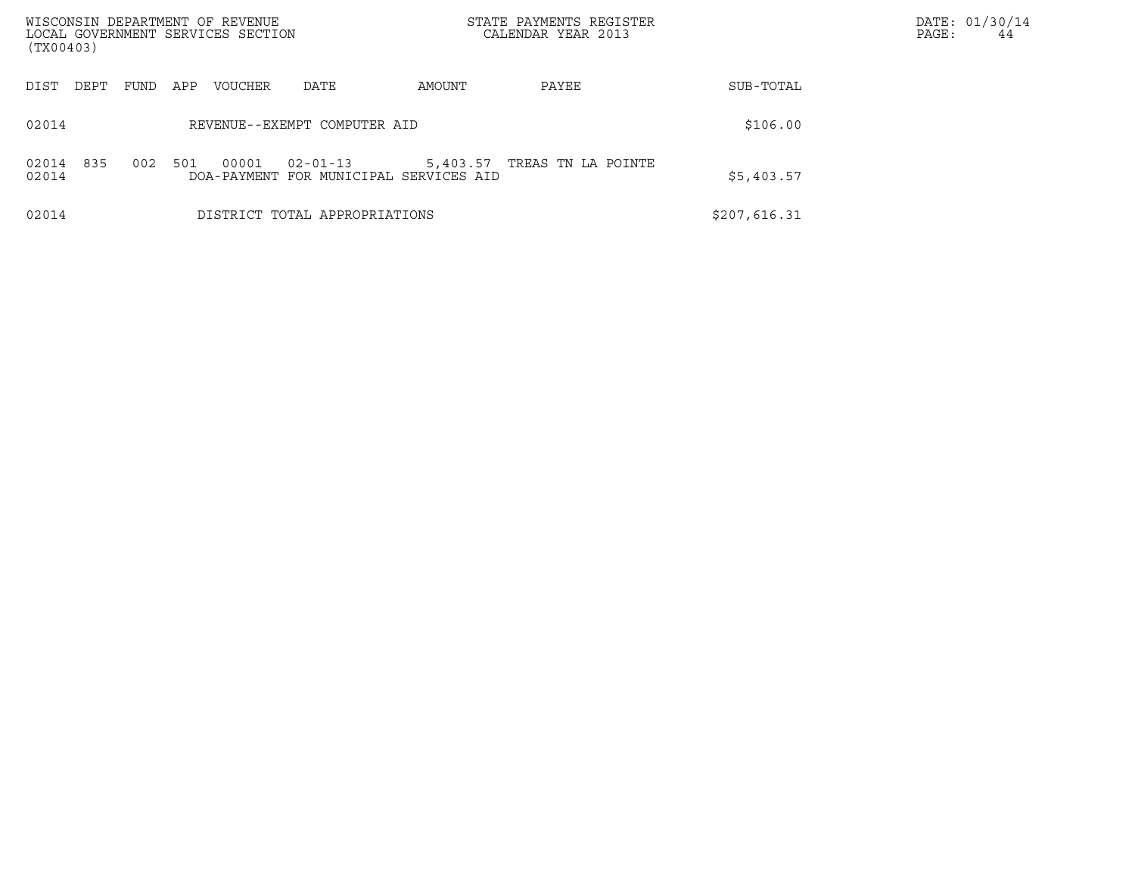| WISCONSIN DEPARTMENT OF REVENUE<br>LOCAL GOVERNMENT SERVICES SECTION<br>(TX00403) |      |     |         |                                                          |          | STATE PAYMENTS REGISTER<br>CALENDAR YEAR 2013 |              | DATE: 01/30/14<br>PAGE:<br>44 |  |
|-----------------------------------------------------------------------------------|------|-----|---------|----------------------------------------------------------|----------|-----------------------------------------------|--------------|-------------------------------|--|
| DIST<br>DEPT                                                                      | FUND | APP | VOUCHER | DATE                                                     | AMOUNT   | PAYEE                                         | SUB-TOTAL    |                               |  |
| 02014                                                                             |      |     |         | REVENUE--EXEMPT COMPUTER AID                             |          |                                               | \$106.00     |                               |  |
| 02014 835<br>02014                                                                | 002  | 501 | 00001   | $02 - 01 - 13$<br>DOA-PAYMENT FOR MUNICIPAL SERVICES AID | 5,403.57 | TREAS TN LA POINTE                            | \$5,403.57   |                               |  |
| 02014                                                                             |      |     |         | DISTRICT TOTAL APPROPRIATIONS                            |          |                                               | \$207,616.31 |                               |  |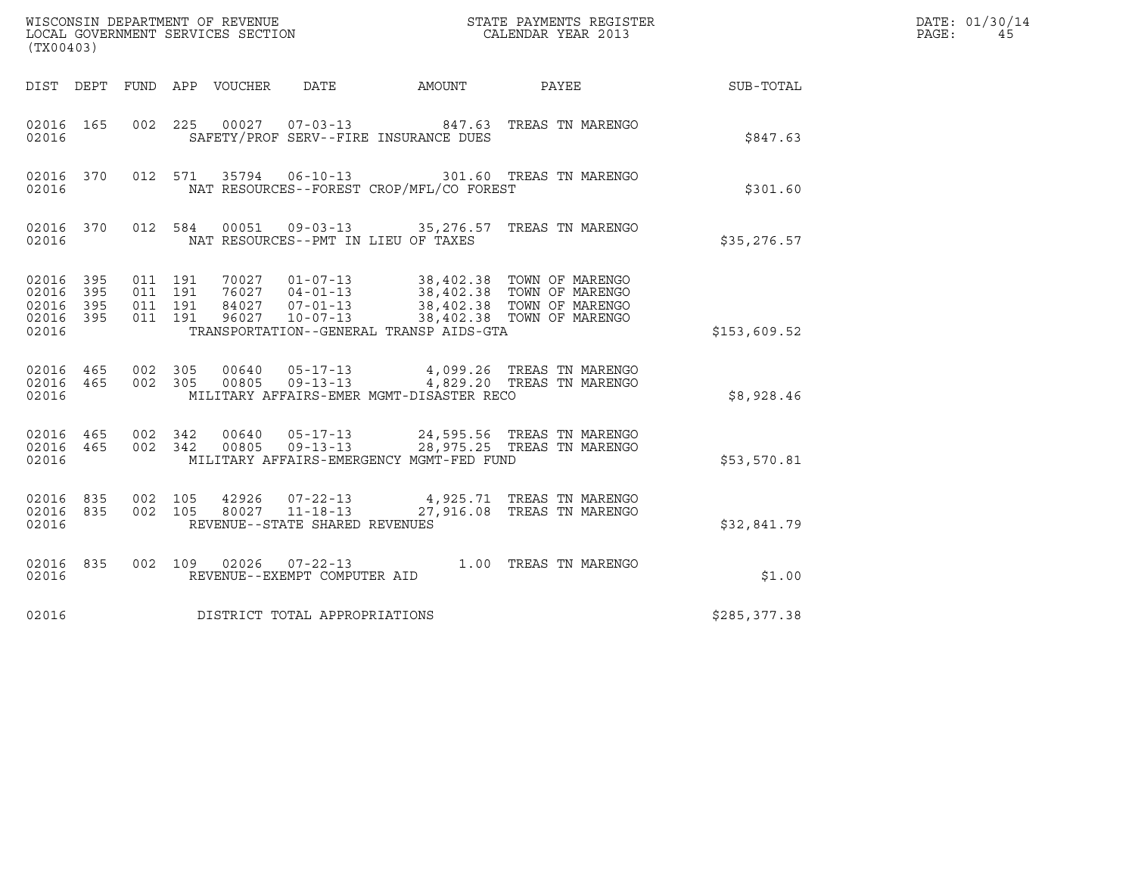| (TX00403)                                 |                          |                                          |                                 |                                                                    |        | ${\tt WISCOONSIM\ DEPARTMENT\ OF\ REVENUE}\qquad \qquad {\tt STATE\ PAYMENTS\ REGISTER\ LOCAL\ GOVERNMENT\ SERVICES\ SECTION\qquad \qquad {\tt CALENDAR\ YEAR\ 2013}$                    |              | DATE: 01/30/14<br>PAGE:<br>45 |
|-------------------------------------------|--------------------------|------------------------------------------|---------------------------------|--------------------------------------------------------------------|--------|------------------------------------------------------------------------------------------------------------------------------------------------------------------------------------------|--------------|-------------------------------|
|                                           |                          |                                          | DIST DEPT FUND APP VOUCHER DATE |                                                                    | AMOUNT | <b>PAYEE</b>                                                                                                                                                                             | SUB-TOTAL    |                               |
| 02016 165<br>02016                        |                          |                                          |                                 | SAFETY/PROF SERV--FIRE INSURANCE DUES                              |        | 002 225 00027 07-03-13 847.63 TREAS TN MARENGO                                                                                                                                           | \$847.63     |                               |
| 02016 370<br>02016                        |                          |                                          |                                 | NAT RESOURCES--FOREST CROP/MFL/CO FOREST                           |        | 012 571 35794 06-10-13 301.60 TREAS TN MARENGO                                                                                                                                           | \$301.60     |                               |
| 02016 370<br>02016                        |                          | 012 584                                  |                                 | NAT RESOURCES--PMT IN LIEU OF TAXES                                |        | 00051  09-03-13  35,276.57  TREAS TN MARENGO                                                                                                                                             | \$35,276.57  |                               |
| 02016<br>02016<br>02016<br>02016<br>02016 | 395<br>395<br>395<br>395 | 011 191<br>011 191<br>011 191<br>011 191 |                                 | TRANSPORTATION--GENERAL TRANSP AIDS-GTA                            |        | 70027  01-07-13  38,402.38  TOWN OF MARENGO<br>76027  04-01-13  38,402.38  TOWN OF MARENGO<br>84027  07-01-13  38,402.38  TOWN OF MARENGO<br>96027  10-07-13  38,402.38  TOWN OF MARENGO | \$153,609.52 |                               |
| 02016 465<br>02016                        | 02016 465 002 305        | 002 305                                  |                                 | MILITARY AFFAIRS-EMER MGMT-DISASTER RECO                           |        | 00640  05-17-13  4,099.26  TREAS TN MARENGO<br>00805  09-13-13  4,829.20  TREAS TN MARENGO                                                                                               | \$8,928.46   |                               |
| 02016<br>02016 465<br>02016               | 465 002 342              | 002 342                                  |                                 | MILITARY AFFAIRS-EMERGENCY MGMT-FED FUND                           |        | 00640  05-17-13  24,595.56  TREAS TN MARENGO<br>00805  09-13-13  28,975.25  TREAS TN MARENGO                                                                                             | \$53,570.81  |                               |
| 02016 835<br>02016<br>02016               | 835                      | 002 105<br>002 105                       | 42926                           | $07 - 22 - 13$<br>80027 11-18-13<br>REVENUE--STATE SHARED REVENUES |        | 4,925.71 TREAS TN MARENGO<br>27,916.08 TREAS TN MARENGO                                                                                                                                  | \$32,841.79  |                               |
| 02016 835<br>02016                        |                          |                                          |                                 | REVENUE--EXEMPT COMPUTER AID                                       |        | 002 109 02026 07-22-13 1.00 TREAS TN MARENGO                                                                                                                                             | \$1.00       |                               |
| 02016                                     |                          |                                          |                                 | DISTRICT TOTAL APPROPRIATIONS                                      |        |                                                                                                                                                                                          | \$285,377.38 |                               |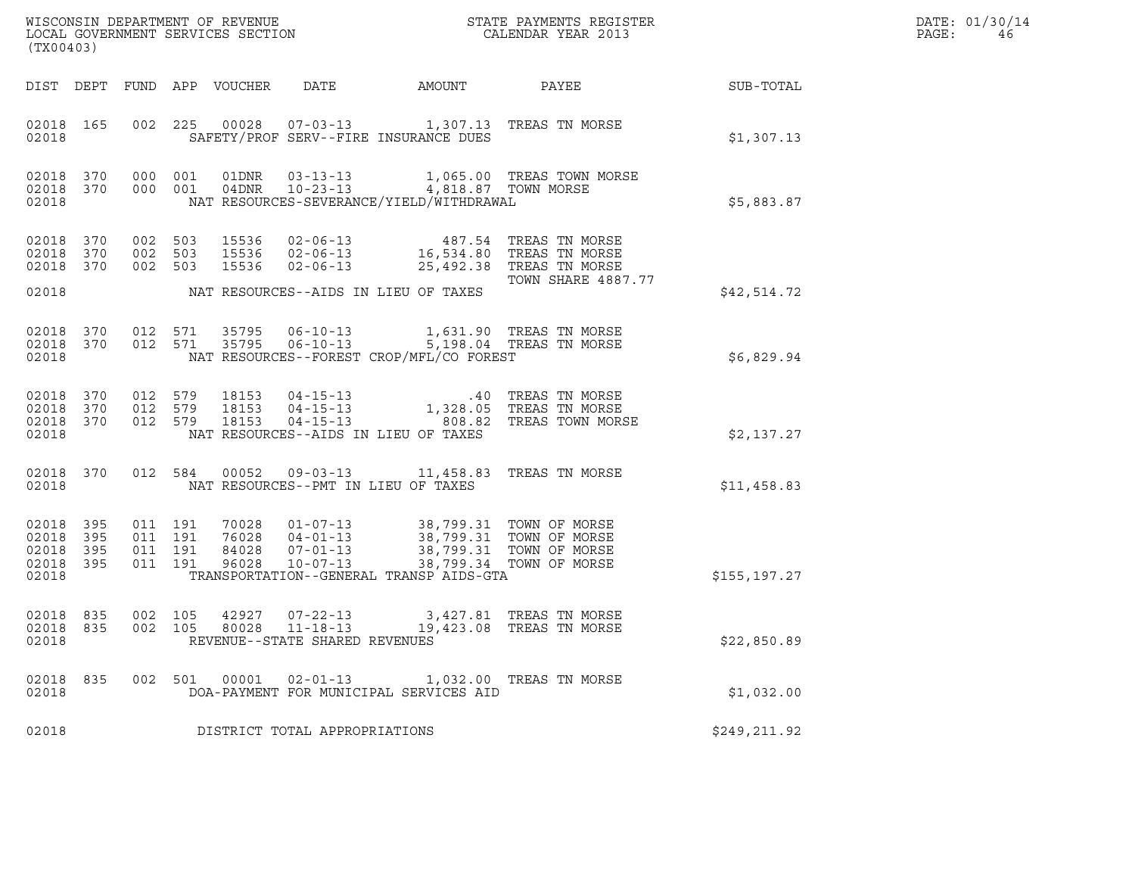| (TX00403)                                 |                          |                               |                    |                                  | WISCONSIN DEPARTMENT OF REVENUE<br>LOCAL GOVERNMENT SERVICES SECTION                                                                                                                    |        | STATE PAYMENTS REGISTER<br>CALENDAR YEAR 2013              |              | DATE: 01/30/14<br>PAGE:<br>46 |
|-------------------------------------------|--------------------------|-------------------------------|--------------------|----------------------------------|-----------------------------------------------------------------------------------------------------------------------------------------------------------------------------------------|--------|------------------------------------------------------------|--------------|-------------------------------|
|                                           |                          |                               |                    | DIST DEPT FUND APP VOUCHER       | DATE                                                                                                                                                                                    | AMOUNT | PAYEE                                                      | SUB-TOTAL    |                               |
| 02018 165<br>02018                        |                          |                               |                    |                                  | 002 225 00028 07-03-13 1,307.13 TREAS TN MORSE<br>SAFETY/PROF SERV--FIRE INSURANCE DUES                                                                                                 |        |                                                            | \$1,307.13   |                               |
| 02018<br>02018                            | 370                      |                               |                    |                                  | 000 001 04DNR 10-23-13 4,818.87 TOWN MORSE<br>NAT RESOURCES-SEVERANCE/YIELD/WITHDRAWAL                                                                                                  |        | 02018 370 000 001 01DNR 03-13-13 1,065.00 TREAS TOWN MORSE | \$5,883.87   |                               |
| 02018<br>02018<br>02018                   | 370<br>370<br>370        | 002 503<br>002 503            | 002 503            | 15536<br>15536<br>15536          | 02-06-13 487.54 TREAS TN MORSE<br>02-06-13 16,534.80 TREAS TN MORSE<br>02-06-13 25,492.38 TREAS TN MORSE                                                                                |        | <b>TOWN SHARE 4887.77</b>                                  |              |                               |
| 02018                                     |                          |                               |                    |                                  | NAT RESOURCES--AIDS IN LIEU OF TAXES                                                                                                                                                    |        |                                                            | \$42,514.72  |                               |
| 02018                                     |                          |                               |                    |                                  | 02018 370 012 571 35795 06-10-13 1,631.90 TREAS TN MORSE<br>02018 370 012 571 35795 06-10-13 5,198.04 TREAS TN MORSE<br>NAT RESOURCES--FOREST CROP/MFL/CO FOREST                        |        |                                                            | \$6,829.94   |                               |
| 02018<br>02018<br>02018<br>02018          | 370<br>370<br>370        | 012 579<br>012 579<br>012 579 |                    | 18153<br>18153<br>18153          | 04-15-13 1,328.05 TREAS TN MORSE<br>04-15-13 1,328.05 TREAS TN MORSE<br>$04 - 15 - 13$<br>NAT RESOURCES--AIDS IN LIEU OF TAXES                                                          |        | 808.82 TREAS TOWN MORSE                                    | \$2,137.27   |                               |
| 02018 370<br>02018                        |                          | 012 584                       |                    |                                  | 00052  09-03-13  11,458.83  TREAS TN MORSE<br>NAT RESOURCES--PMT IN LIEU OF TAXES                                                                                                       |        |                                                            | \$11,458.83  |                               |
| 02018<br>02018<br>02018<br>02018<br>02018 | 395<br>395<br>395<br>395 | 011 191<br>011 191            | 011 191<br>011 191 | 70028<br>76028<br>84028<br>96028 | 01-07-13 38,799.31 TOWN OF MORSE<br>04-01-13 38,799.31 TOWN OF MORSE<br>07-01-13 38,799.31 TOWN OF MORSE<br>10-07-13 38,799.34 TOWN OF MORSE<br>TRANSPORTATION--GENERAL TRANSP AIDS-GTA |        |                                                            | \$155,197.27 |                               |
| 02018 835<br>02018                        |                          |                               |                    |                                  | 002 105 42927 07-22-13 3,427.81 TREAS TN MORSE<br>02018 835 002 105 80028 11-18-13 19,423.08 TREAS TN MORSE<br>REVENUE--STATE SHARED REVENUES                                           |        |                                                            | \$22,850.89  |                               |
| 02018 835<br>02018                        |                          |                               |                    |                                  | 002 501 00001 02-01-13 1,032.00 TREAS TN MORSE<br>DOA-PAYMENT FOR MUNICIPAL SERVICES AID                                                                                                |        |                                                            | \$1,032.00   |                               |
| 02018                                     |                          |                               |                    |                                  | DISTRICT TOTAL APPROPRIATIONS                                                                                                                                                           |        |                                                            | \$249,211.92 |                               |
|                                           |                          |                               |                    |                                  |                                                                                                                                                                                         |        |                                                            |              |                               |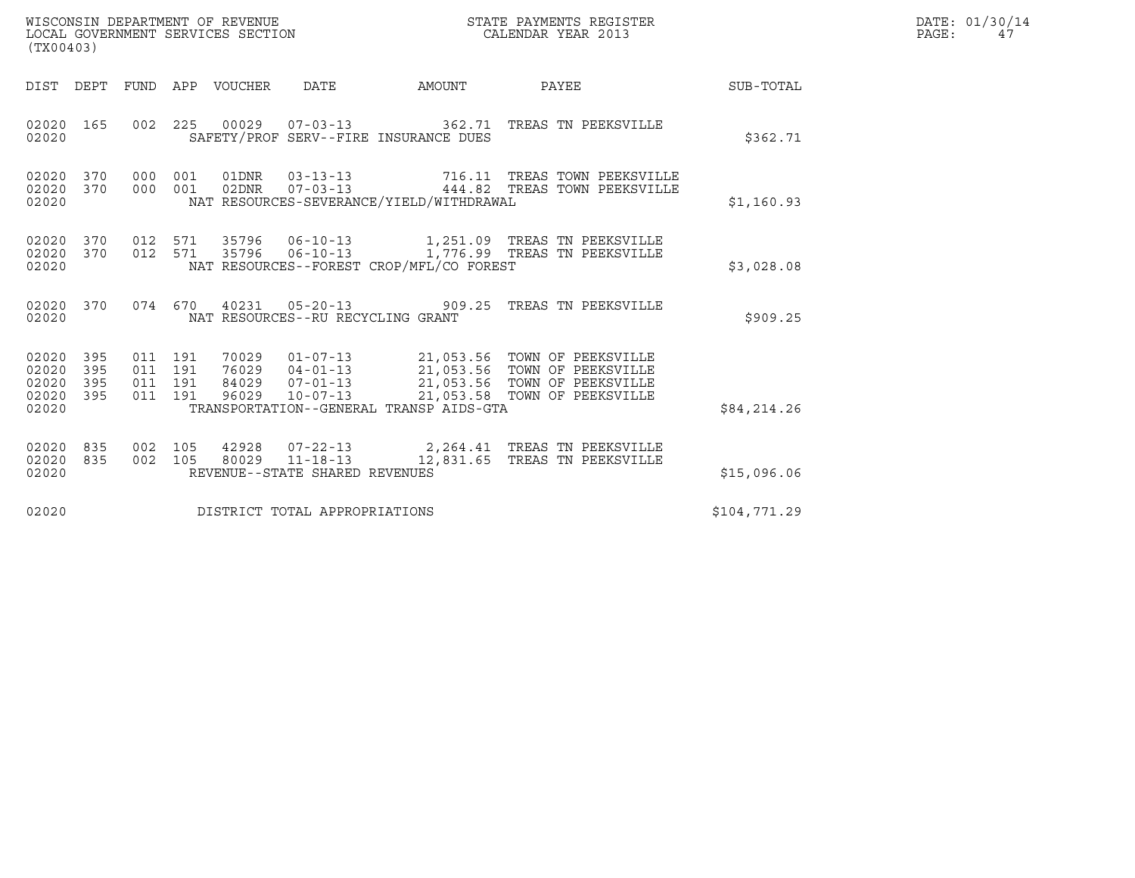| WISCONSIN DEPARTMENT OF REVENUE<br>LOCAL GOVERNMENT SERVICES SECTION<br>(TX00403) | STATE PAYMENTS REGISTER<br>CALENDAR YEAR 2013 | DATE: 01/30/14<br>PAGE: |
|-----------------------------------------------------------------------------------|-----------------------------------------------|-------------------------|

| (TX00403)                                                                                         |                                                                                                                                                                                                                                                                                                                       |              |
|---------------------------------------------------------------------------------------------------|-----------------------------------------------------------------------------------------------------------------------------------------------------------------------------------------------------------------------------------------------------------------------------------------------------------------------|--------------|
| <b>DIST</b><br>DEPT<br><b>FUND</b>                                                                | APP<br><b>VOUCHER</b><br><b>DATE</b><br>AMOUNT<br>PAYEE                                                                                                                                                                                                                                                               | SUB-TOTAL    |
| 002<br>02020<br>165<br>02020                                                                      | 00029<br>225<br>$07 - 03 - 13$<br>362.71<br>TREAS TN PEEKSVILLE<br>SAFETY/PROF SERV--FIRE INSURANCE DUES                                                                                                                                                                                                              | \$362.71     |
| 02020<br>370<br>000<br>02020<br>370<br>000<br>02020                                               | 001<br>01DNR<br>$03 - 13 - 13$<br>716.11<br>TREAS TOWN PEEKSVILLE<br>$07 - 03 - 13$<br>TREAS TOWN PEEKSVILLE<br>001<br>02DNR<br>444.82<br>NAT RESOURCES-SEVERANCE/YIELD/WITHDRAWAL                                                                                                                                    | \$1,160.93   |
| 02020<br>370<br>012<br>02020<br>370<br>012<br>02020                                               | 571<br>35796<br>$06 - 10 - 13$<br>1,251.09 TREAS TN PEEKSVILLE<br>1,776.99 TREAS TN PEEKSVILLE<br>$06 - 10 - 13$<br>571<br>35796<br>NAT RESOURCES--FOREST CROP/MFL/CO FOREST                                                                                                                                          | \$3,028.08   |
| 02020<br>370<br>074<br>02020                                                                      | 670<br>40231<br>$05 - 20 - 13$<br>TREAS TN PEEKSVILLE<br>909.25<br>NAT RESOURCES--RU RECYCLING GRANT                                                                                                                                                                                                                  | \$909.25     |
| 02020<br>395<br>011<br>02020<br>395<br>011<br>02020<br>395<br>011<br>02020<br>395<br>011<br>02020 | $01 - 07 - 13$<br>191<br>70029<br>21,053.56 TOWN OF PEEKSVILLE<br>21,053.56 TOWN OF PEEKSVILLE<br>191<br>76029<br>$04 - 01 - 13$<br>$07 - 01 - 13$<br>21,053.56<br>TOWN OF PEEKSVILLE<br>191<br>84029<br>96029<br>$10 - 07 - 13$<br>21,053.58<br>TOWN OF PEEKSVILLE<br>191<br>TRANSPORTATION--GENERAL TRANSP AIDS-GTA | \$84,214.26  |
| 02020<br>835<br>002<br>02020<br>835<br>002<br>02020                                               | 105<br>42928<br>$07 - 22 - 13$<br>2,264.41<br>TREAS TN PEEKSVILLE<br>105<br>80029<br>$11 - 18 - 13$<br>12,831.65<br>TREAS TN PEEKSVILLE<br>REVENUE--STATE SHARED REVENUES                                                                                                                                             | \$15,096.06  |
| 02020                                                                                             | DISTRICT TOTAL APPROPRIATIONS                                                                                                                                                                                                                                                                                         | \$104,771.29 |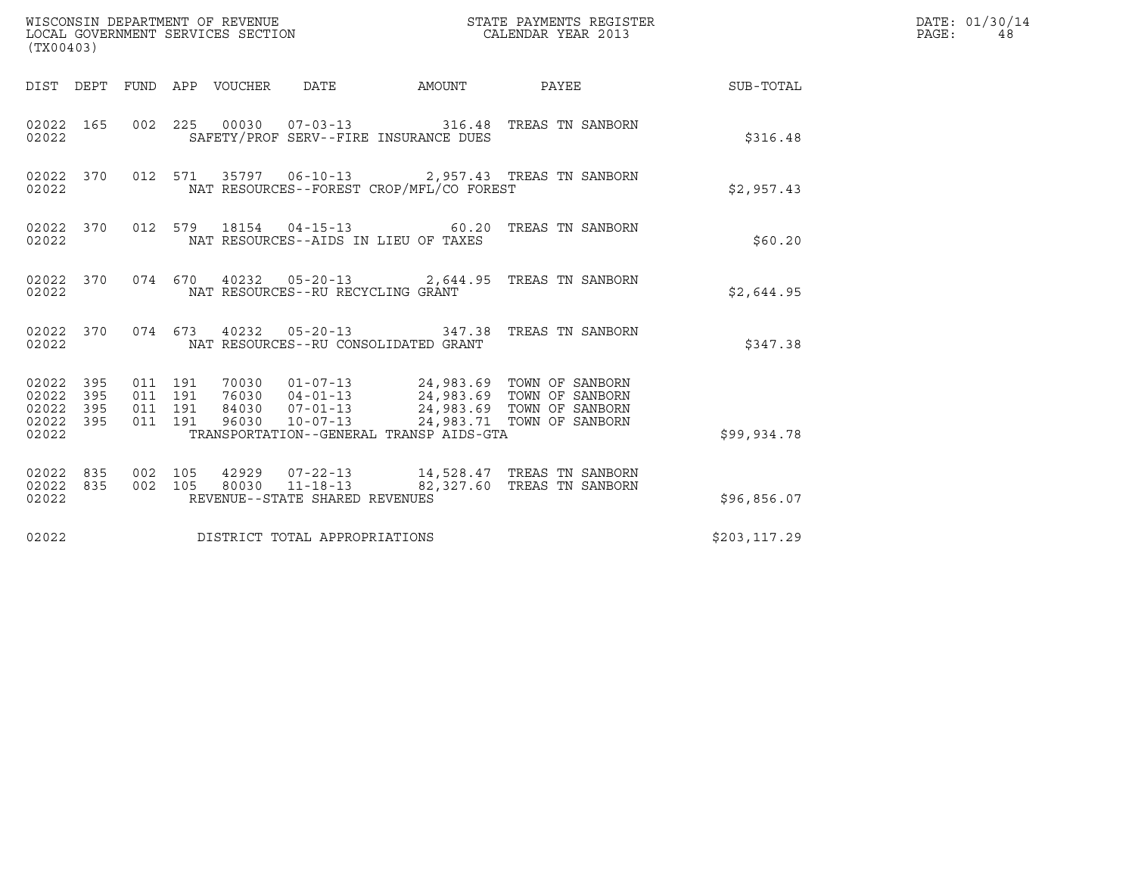| (TX00403)                                                       |                                          |       | WISCONSIN DEPARTMENT OF REVENUE<br>LOCAL GOVERNMENT SERVICES SECTION | STATE PAYMENTS REGISTER<br>CALENDAR YEAR 2013                                                                                                                          |              | DATE: 01/30/14<br>$\mathtt{PAGE}$ :<br>48 |
|-----------------------------------------------------------------|------------------------------------------|-------|----------------------------------------------------------------------|------------------------------------------------------------------------------------------------------------------------------------------------------------------------|--------------|-------------------------------------------|
| DIST DEPT                                                       |                                          |       | FUND APP VOUCHER DATE AMOUNT                                         | PAYEE                                                                                                                                                                  | SUB-TOTAL    |                                           |
| 02022 165<br>02022                                              |                                          |       | SAFETY/PROF SERV--FIRE INSURANCE DUES                                | 002 225 00030 07-03-13 316.48 TREAS TN SANBORN                                                                                                                         | \$316.48     |                                           |
| 02022 370<br>02022                                              |                                          |       | NAT RESOURCES--FOREST CROP/MFL/CO FOREST                             | 012 571 35797 06-10-13 2,957.43 TREAS TN SANBORN                                                                                                                       | \$2,957.43   |                                           |
| 02022 370<br>02022                                              |                                          |       | NAT RESOURCES--AIDS IN LIEU OF TAXES                                 | 012 579 18154 04-15-13 60.20 TREAS TN SANBORN                                                                                                                          | \$60.20      |                                           |
| 02022 370<br>02022                                              |                                          |       | NAT RESOURCES--RU RECYCLING GRANT                                    | 074 670 40232 05-20-13 2,644.95 TREAS TN SANBORN                                                                                                                       | \$2,644.95   |                                           |
| 02022 370<br>02022                                              |                                          |       | NAT RESOURCES--RU CONSOLIDATED GRANT                                 | 074 673 40232 05-20-13 347.38 TREAS TN SANBORN                                                                                                                         | \$347.38     |                                           |
| 02022 395<br>02022<br>395<br>395<br>02022<br>02022 395<br>02022 | 011 191<br>011 191<br>011 191<br>011 191 | 96030 | $10 - 07 - 13$<br>TRANSPORTATION--GENERAL TRANSP AIDS-GTA            | 70030  01-07-13  24,983.69  TOWN OF SANBORN<br>76030  04-01-13  24,983.69  TOWN OF SANBORN<br>84030  07-01-13  24,983.69  TOWN OF SANBORN<br>24,983.71 TOWN OF SANBORN | \$99,934.78  |                                           |
| 02022<br>835<br>02022 835<br>02022                              | 002 105<br>002 105                       |       | REVENUE--STATE SHARED REVENUES                                       | 42929  07-22-13  14,528.47  TREAS TN SANBORN<br>80030  11-18-13  82,327.60  TREAS TN SANBORN                                                                           | \$96,856.07  |                                           |
| 02022                                                           |                                          |       | DISTRICT TOTAL APPROPRIATIONS                                        |                                                                                                                                                                        | \$203,117.29 |                                           |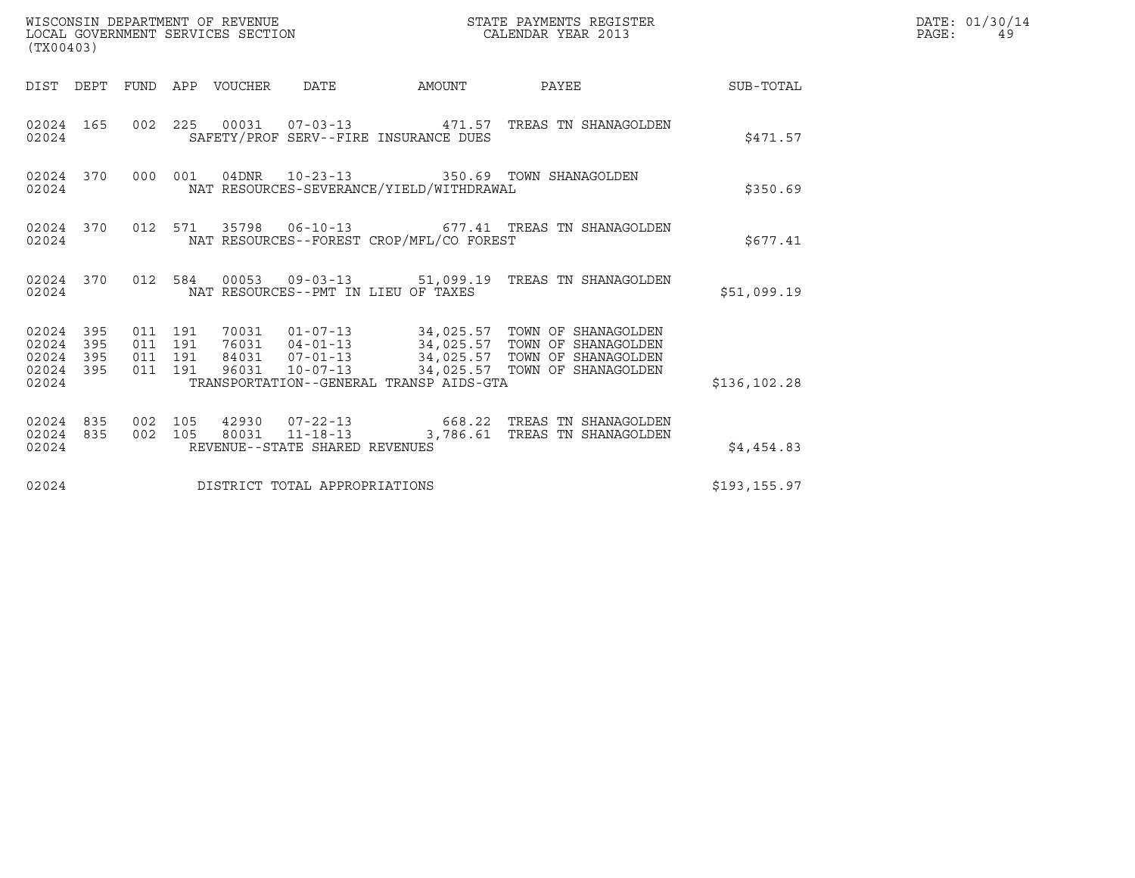| (TX00403)                                                       | WISCONSIN DEPARTMENT OF REVENUE<br>LOCAL GOVERNMENT SERVICES SECTION                       | STATE PAYMENTS REGISTER<br>CALENDAR YEAR 2013                                                                                                                                                            |               | DATE: 01/30/14<br>PAGE:<br>49 |
|-----------------------------------------------------------------|--------------------------------------------------------------------------------------------|----------------------------------------------------------------------------------------------------------------------------------------------------------------------------------------------------------|---------------|-------------------------------|
|                                                                 | DIST DEPT FUND APP VOUCHER DATE                                                            | AMOUNT PAYEE SUB-TOTAL                                                                                                                                                                                   |               |                               |
| 02024 165<br>02024                                              | SAFETY/PROF SERV--FIRE INSURANCE DUES                                                      | 002  225  00031  07-03-13  471.57  TREAS TN SHANAGOLDEN                                                                                                                                                  | \$471.57      |                               |
| 02024 370<br>02024                                              | 000 001 04DNR 10-23-13 350.69 TOWN SHANAGOLDEN<br>NAT RESOURCES-SEVERANCE/YIELD/WITHDRAWAL |                                                                                                                                                                                                          | \$350.69      |                               |
| 02024 370<br>02024                                              | NAT RESOURCES--FOREST CROP/MFL/CO FOREST                                                   | 012 571 35798 06-10-13 677.41 TREAS TN SHANAGOLDEN                                                                                                                                                       | \$677.41      |                               |
| 02024                                                           | NAT RESOURCES--PMT IN LIEU OF TAXES                                                        | 02024 370 012 584 00053 09-03-13 51,099.19 TREAS TN SHANAGOLDEN                                                                                                                                          | \$51,099.19   |                               |
| 02024 395<br>02024<br>395<br>02024<br>395<br>02024 395<br>02024 | 011 191<br>011 191<br>011 191<br>011 191<br>TRANSPORTATION--GENERAL TRANSP AIDS-GTA        | 70031  01-07-13  34,025.57  TOWN OF SHANAGOLDEN<br>76031  04-01-13  34,025.57  TOWN OF SHANAGOLDEN<br>84031  07-01-13  34,025.57  TOWN OF SHANAGOLDEN<br>96031  10-07-13  34,025.57  TOWN OF SHANAGOLDEN | \$136,102.28  |                               |
| 02024 835<br>02024 835<br>02024                                 | 002 105<br>002 105<br>REVENUE--STATE SHARED REVENUES                                       | 42930  07-22-13  668.22  TREAS TN SHANAGOLDEN<br>80031  11-18-13  3,786.61  TREAS TN SHANAGOLDEN                                                                                                         | \$4,454.83    |                               |
| 02024                                                           | DISTRICT TOTAL APPROPRIATIONS                                                              |                                                                                                                                                                                                          | \$193, 155.97 |                               |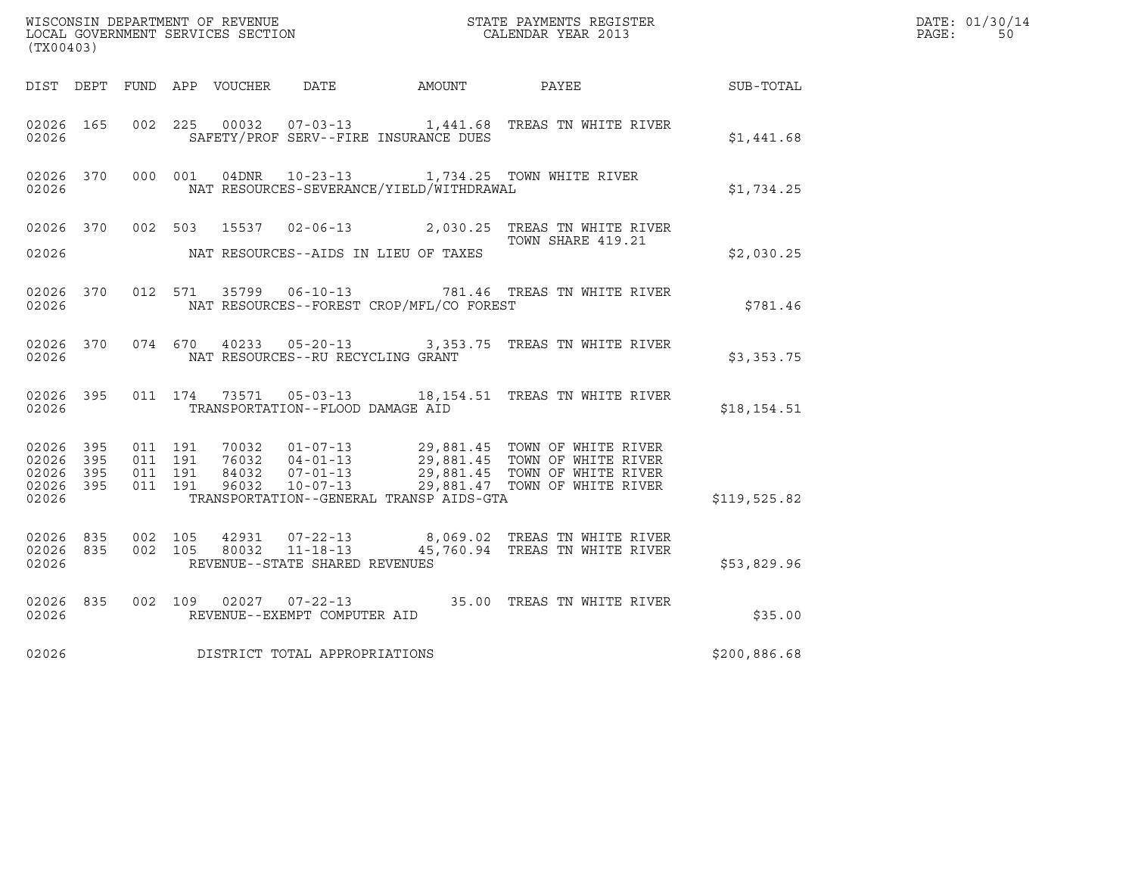| (TX00403)                                    |                        |                                          |         |                                   |                                              | WISCONSIN DEPARTMENT OF REVENUE<br>LOCAL GOVERNMENT SERVICES SECTION<br>CALENDAR YEAR 2013                                                                                                      |                  | DATE: 01/30/14<br>PAGE:<br>50 |
|----------------------------------------------|------------------------|------------------------------------------|---------|-----------------------------------|----------------------------------------------|-------------------------------------------------------------------------------------------------------------------------------------------------------------------------------------------------|------------------|-------------------------------|
|                                              |                        |                                          |         |                                   | DIST DEPT FUND APP VOUCHER DATE AMOUNT PAYEE |                                                                                                                                                                                                 | <b>SUB-TOTAL</b> |                               |
| 02026 165<br>02026                           |                        |                                          | 002 225 |                                   | SAFETY/PROF SERV--FIRE INSURANCE DUES        | 00032  07-03-13  1,441.68  TREAS TN WHITE RIVER                                                                                                                                                 | \$1,441.68       |                               |
| 02026                                        | 02026 370              |                                          |         |                                   | NAT RESOURCES-SEVERANCE/YIELD/WITHDRAWAL     | 000 001 04DNR 10-23-13 1,734.25 TOWN WHITE RIVER                                                                                                                                                | \$1,734.25       |                               |
| 02026                                        |                        |                                          |         |                                   | NAT RESOURCES--AIDS IN LIEU OF TAXES         | 02026 370 002 503 15537 02-06-13 2,030.25 TREAS TN WHITE RIVER<br>TOWN SHARE 419.21                                                                                                             | \$2,030.25       |                               |
| 02026                                        | 02026 370              |                                          |         |                                   | NAT RESOURCES--FOREST CROP/MFL/CO FOREST     | 012 571 35799 06-10-13 781.46 TREAS TN WHITE RIVER                                                                                                                                              | \$781.46         |                               |
| 02026                                        | 02026 370              |                                          |         | NAT RESOURCES--RU RECYCLING GRANT |                                              | 074 670 40233 05-20-13 3,353.75 TREAS TN WHITE RIVER                                                                                                                                            | \$3,353.75       |                               |
| 02026 395<br>02026                           |                        |                                          |         | TRANSPORTATION--FLOOD DAMAGE AID  |                                              | 011 174 73571 05-03-13 18,154.51 TREAS TN WHITE RIVER                                                                                                                                           | \$18, 154.51     |                               |
| 02026 395<br>02026 395<br>02026 395<br>02026 | 02026 395              | 011 191<br>011 191<br>011 191<br>011 191 |         | 96032 10-07-13                    | TRANSPORTATION--GENERAL TRANSP AIDS-GTA      | 70032   01-07-13   29,881.45   TOWN OF WHITE RIVER<br>76032   04-01-13   29,881.45   TOWN OF WHITE RIVER<br>84032   07-01-13   29,881.45   TOWN OF WHITE RIVER<br>29,881.47 TOWN OF WHITE RIVER | \$119,525.82     |                               |
| 02026                                        | 02026 835<br>02026 835 | 002 105<br>002 105                       |         | REVENUE--STATE SHARED REVENUES    |                                              | 42931 07-22-13 8,069.02 TREAS TN WHITE RIVER<br>80032  11-18-13  45,760.94  TREAS TN WHITE RIVER                                                                                                | \$53,829.96      |                               |
| 02026                                        | 02026 835              |                                          |         | REVENUE--EXEMPT COMPUTER AID      |                                              | 002 109 02027 07-22-13 35.00 TREAS TN WHITE RIVER                                                                                                                                               | \$35.00          |                               |
| 02026                                        |                        |                                          |         | DISTRICT TOTAL APPROPRIATIONS     |                                              |                                                                                                                                                                                                 | \$200,886.68     |                               |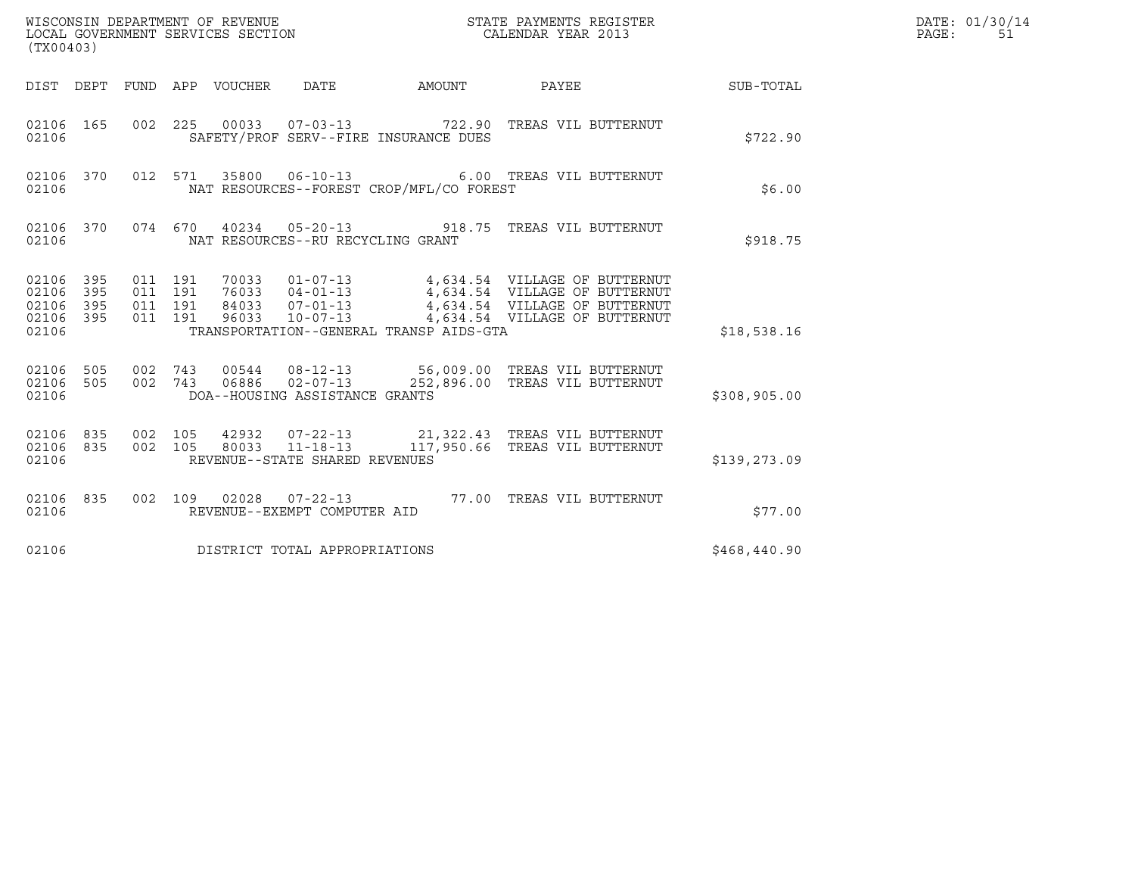| (TX00403)                                 |                          |                                          |                                 | WISCONSIN DEPARTMENT OF REVENUE<br>LOCAL GOVERNMENT SERVICES SECTION   |                                          | STATE PAYMENTS REGISTER<br>CALENDAR YEAR 2013                                                                                                                                 |                  | DATE: 01/30/14<br>PAGE:<br>51 |
|-------------------------------------------|--------------------------|------------------------------------------|---------------------------------|------------------------------------------------------------------------|------------------------------------------|-------------------------------------------------------------------------------------------------------------------------------------------------------------------------------|------------------|-------------------------------|
|                                           |                          |                                          | DIST DEPT FUND APP VOUCHER DATE |                                                                        | AMOUNT                                   | <b>PAYEE</b>                                                                                                                                                                  | <b>SUB-TOTAL</b> |                               |
| 02106 165<br>02106                        |                          |                                          |                                 |                                                                        | SAFETY/PROF SERV--FIRE INSURANCE DUES    | 002 225 00033 07-03-13 722.90 TREAS VIL BUTTERNUT                                                                                                                             | \$722.90         |                               |
| 02106 370<br>02106                        |                          |                                          |                                 |                                                                        | NAT RESOURCES--FOREST CROP/MFL/CO FOREST | 012 571 35800 06-10-13 6.00 TREAS VIL BUTTERNUT                                                                                                                               | \$6.00           |                               |
| 02106 370<br>02106                        |                          |                                          |                                 | NAT RESOURCES--RU RECYCLING GRANT                                      |                                          | 074  670  40234  05-20-13  918.75  TREAS VIL BUTTERNUT                                                                                                                        | \$918.75         |                               |
| 02106<br>02106<br>02106<br>02106<br>02106 | 395<br>395<br>395<br>395 | 011 191<br>011 191<br>011 191<br>011 191 | 84033<br>96033                  | $10 - 07 - 13$                                                         | TRANSPORTATION--GENERAL TRANSP AIDS-GTA  | 70033  01-07-13  4,634.54  VILLAGE OF BUTTERNUT<br>76033  04-01-13  4,634.54  VILLAGE OF BUTTERNUT<br>07-01-13 4,634.54 VILLAGE OF BUTTERNUT<br>4,634.54 VILLAGE OF BUTTERNUT | \$18,538.16      |                               |
| 02106 505<br>02106<br>02106               | 505                      | 002 743<br>002 743                       | 06886                           | $00544$ $08-12-13$<br>$02 - 07 - 13$<br>DOA--HOUSING ASSISTANCE GRANTS |                                          | 56,009.00 TREAS VIL BUTTERNUT<br>252,896.00 TREAS VIL BUTTERNUT                                                                                                               | \$308,905.00     |                               |
| 02106<br>02106<br>02106                   | 835<br>835               | 002 105<br>002 105                       |                                 | 80033 11-18-13<br>REVENUE--STATE SHARED REVENUES                       |                                          | 42932  07-22-13  21,322.43  TREAS VIL BUTTERNUT<br>117,950.66 TREAS VIL BUTTERNUT                                                                                             | \$139,273.09     |                               |
| 02106 835<br>02106                        |                          |                                          |                                 | REVENUE--EXEMPT COMPUTER AID                                           |                                          | 002  109  02028  07-22-13  77.00 TREAS VIL BUTTERNUT                                                                                                                          | \$77.00          |                               |
| 02106                                     |                          |                                          |                                 | DISTRICT TOTAL APPROPRIATIONS                                          |                                          |                                                                                                                                                                               | \$468,440.90     |                               |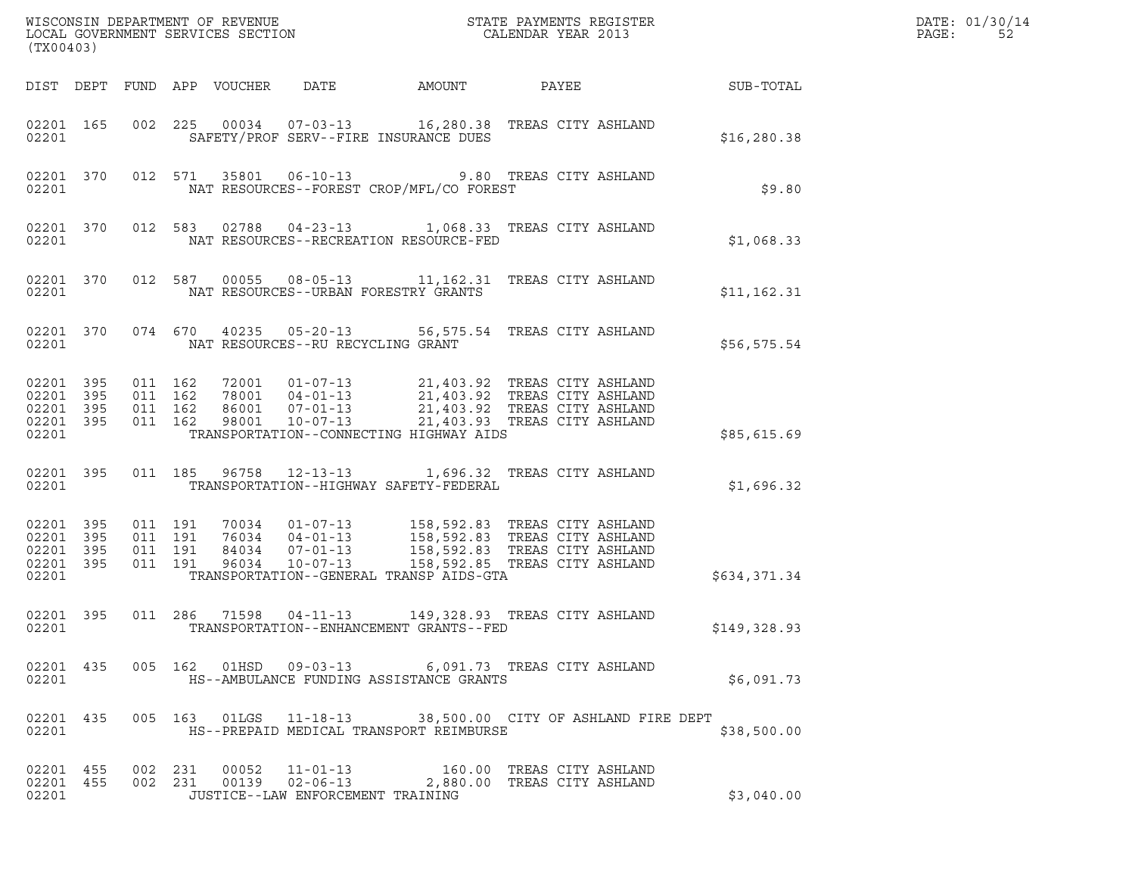|                                                           | (TX00403) |                   |                                        |                                   |                                          |                                                                                                                                                                                                                                      |              | DATE: 01/30/14<br>PAGE:<br>52 |
|-----------------------------------------------------------|-----------|-------------------|----------------------------------------|-----------------------------------|------------------------------------------|--------------------------------------------------------------------------------------------------------------------------------------------------------------------------------------------------------------------------------------|--------------|-------------------------------|
|                                                           |           |                   | DIST DEPT FUND APP VOUCHER             | DATE                              | AMOUNT                                   | PAYEE                                                                                                                                                                                                                                | SUB-TOTAL    |                               |
| 02201 165<br>02201                                        |           |                   |                                        |                                   | SAFETY/PROF SERV--FIRE INSURANCE DUES    | 002  225  00034  07-03-13   16,280.38  TREAS CITY ASHLAND                                                                                                                                                                            | \$16, 280.38 |                               |
| 02201                                                     | 02201 370 |                   |                                        |                                   | NAT RESOURCES--FOREST CROP/MFL/CO FOREST | 012 571 35801 06-10-13 9.80 TREAS CITY ASHLAND                                                                                                                                                                                       | \$9.80       |                               |
| 02201                                                     | 02201 370 |                   |                                        |                                   | NAT RESOURCES--RECREATION RESOURCE-FED   | 012 583 02788 04-23-13 1,068.33 TREAS CITY ASHLAND                                                                                                                                                                                   | \$1,068.33   |                               |
| 02201                                                     | 02201 370 |                   |                                        |                                   | NAT RESOURCES--URBAN FORESTRY GRANTS     | 012 587 00055 08-05-13 11,162.31 TREAS CITY ASHLAND                                                                                                                                                                                  | \$11, 162.31 |                               |
| 02201                                                     | 02201 370 |                   |                                        | NAT RESOURCES--RU RECYCLING GRANT |                                          | 074 670 40235 05-20-13 56,575.54 TREAS CITY ASHLAND                                                                                                                                                                                  | \$56,575.54  |                               |
| 02201 395<br>02201 395<br>02201 395<br>02201 395<br>02201 |           | 011 162           | 011 162<br>011 162<br>011 162<br>98001 | 10-07-13                          | TRANSPORTATION--CONNECTING HIGHWAY AIDS  | 72001  01-07-13  21,403.92  TREAS CITY ASHLAND<br>78001  04-01-13  21,403.92  TREAS CITY ASHLAND<br>86001  07-01-13  21,403.92  TREAS CITY ASHLAND<br>98001  10-07-13  21,403.93  TREAS CITY ASHLAND<br>21,403.93 TREAS CITY ASHLAND | \$85,615.69  |                               |
| 02201 395<br>02201                                        |           |                   | 011 185                                |                                   | TRANSPORTATION--HIGHWAY SAFETY-FEDERAL   | 96758  12-13-13    1,696.32    TREAS CITY ASHLAND                                                                                                                                                                                    | \$1,696.32   |                               |
| 02201 395<br>02201 395<br>02201 395<br>02201 395<br>02201 |           | 011 191           | 011 191<br>011 191<br>011 191          |                                   | TRANSPORTATION--GENERAL TRANSP AIDS-GTA  |                                                                                                                                                                                                                                      | \$634,371.34 |                               |
| 02201 395<br>02201                                        |           |                   | 011 286<br>71598                       | 04-11-13                          | TRANSPORTATION--ENHANCEMENT GRANTS--FED  | 149,328.93 TREAS CITY ASHLAND                                                                                                                                                                                                        | \$149,328.93 |                               |
| 02201                                                     |           |                   |                                        |                                   | HS--AMBULANCE FUNDING ASSISTANCE GRANTS  | 02201 435 005 162 01HSD 09-03-13 6,091.73 TREAS CITY ASHLAND                                                                                                                                                                         | \$6.091.73   |                               |
| 02201                                                     |           |                   |                                        |                                   | HS--PREPAID MEDICAL TRANSPORT REIMBURSE  | 02201 435 005 163 01LGS 11-18-13 38,500.00 CITY OF ASHLAND FIRE DEPT                                                                                                                                                                 | \$38,500.00  |                               |
| 02201                                                     | 02201 455 | 02201 455 002 231 | 002 231                                | JUSTICE--LAW ENFORCEMENT TRAINING |                                          | 00052   11-01-13   160.00   TREAS CITY ASHLAND<br>00139   02-06-13   2,880.00   TREAS CITY ASHLAND                                                                                                                                   | \$3,040.00   |                               |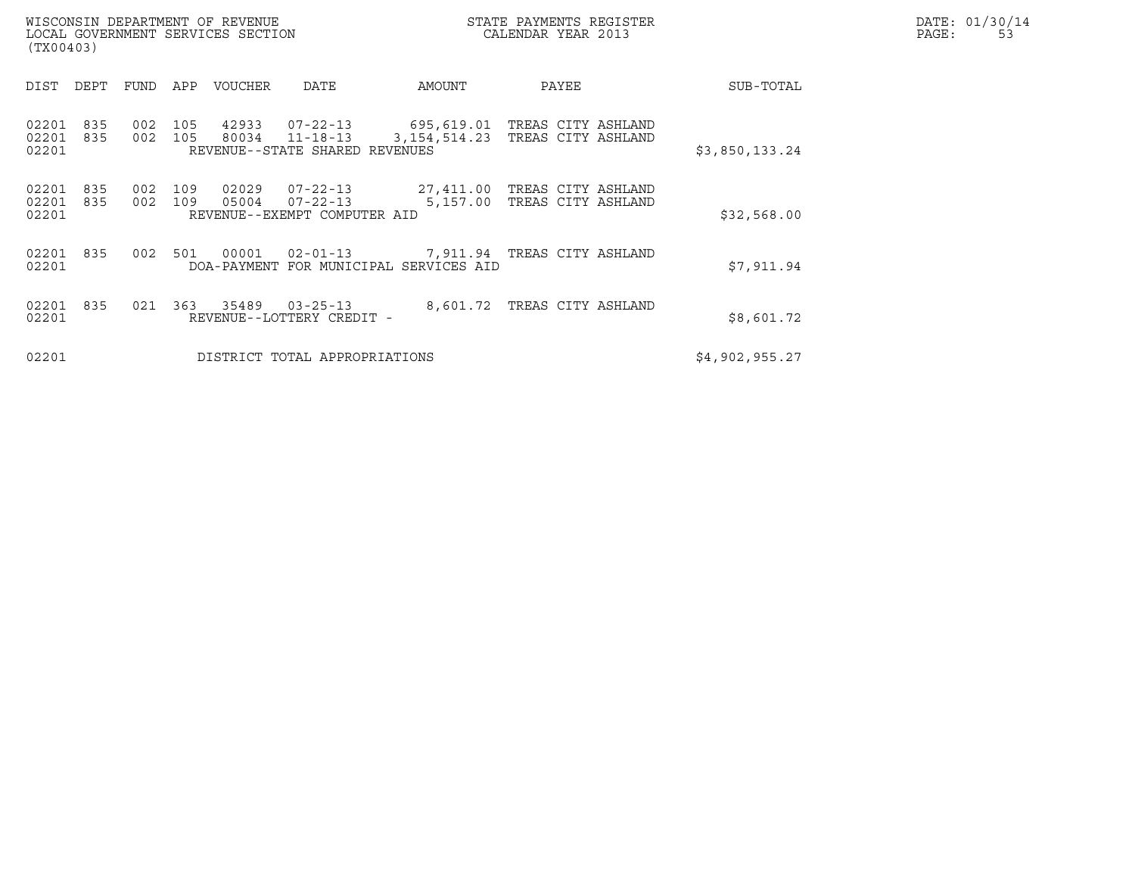| WISCONSIN DEPARTMENT OF REVENUE<br>STATE PAYMENTS REGISTER<br>CALENDAR YEAR 2013<br>LOCAL GOVERNMENT SERVICES SECTION<br>(TX00403) |            |            |            |                |                                                              |                                                                         |                                                     |                | DATE: 01/30/14<br>PAGE:<br>53 |
|------------------------------------------------------------------------------------------------------------------------------------|------------|------------|------------|----------------|--------------------------------------------------------------|-------------------------------------------------------------------------|-----------------------------------------------------|----------------|-------------------------------|
| DIST                                                                                                                               | DEPT       | FUND       | APP        | VOUCHER        | DATE                                                         | AMOUNT                                                                  | PAYEE                                               | SUB-TOTAL      |                               |
| 02201<br>02201<br>02201                                                                                                            | 835<br>835 | 002<br>002 | 105<br>105 | 42933<br>80034 | 07-22-13<br>$11 - 18 - 13$<br>REVENUE--STATE SHARED REVENUES | 3, 154, 514.23                                                          | 695,619.01 TREAS CITY ASHLAND<br>TREAS CITY ASHLAND | \$3,850,133.24 |                               |
| 02201<br>02201<br>02201                                                                                                            | 835<br>835 | 002<br>002 | 109<br>109 | 02029<br>05004 | 07-22-13<br>$07 - 22 - 13$<br>REVENUE--EXEMPT COMPUTER AID   | 5,157.00                                                                | 27,411.00 TREAS CITY ASHLAND<br>TREAS CITY ASHLAND  | \$32,568.00    |                               |
| 02201<br>02201                                                                                                                     | 835        | 002        | 501        | 00001          | $02 - 01 - 13$                                               | 7,911.94   TREAS CITY ASHLAND<br>DOA-PAYMENT FOR MUNICIPAL SERVICES AID |                                                     | \$7,911.94     |                               |
| 02201<br>02201                                                                                                                     | 835        | 021        | 363        | 35489          | $03 - 25 - 13$<br>REVENUE--LOTTERY CREDIT -                  |                                                                         | 8,601.72 TREAS CITY ASHLAND                         | \$8,601.72     |                               |
| 02201                                                                                                                              |            |            |            |                | DISTRICT TOTAL APPROPRIATIONS                                |                                                                         |                                                     | \$4,902,955.27 |                               |